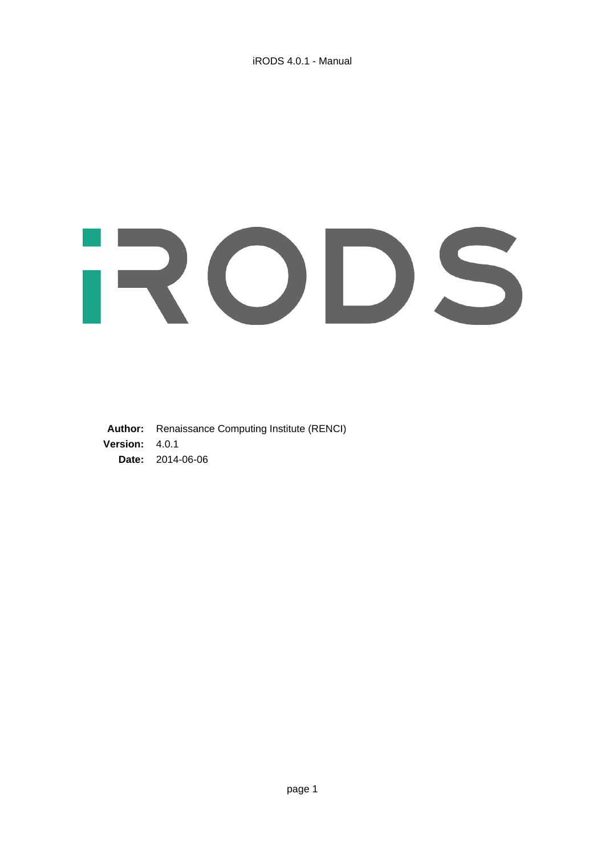# RODS

**Author:** Renaissance Computing Institute (RENCI) **Version:** 4.0.1 **Date:** 2014-06-06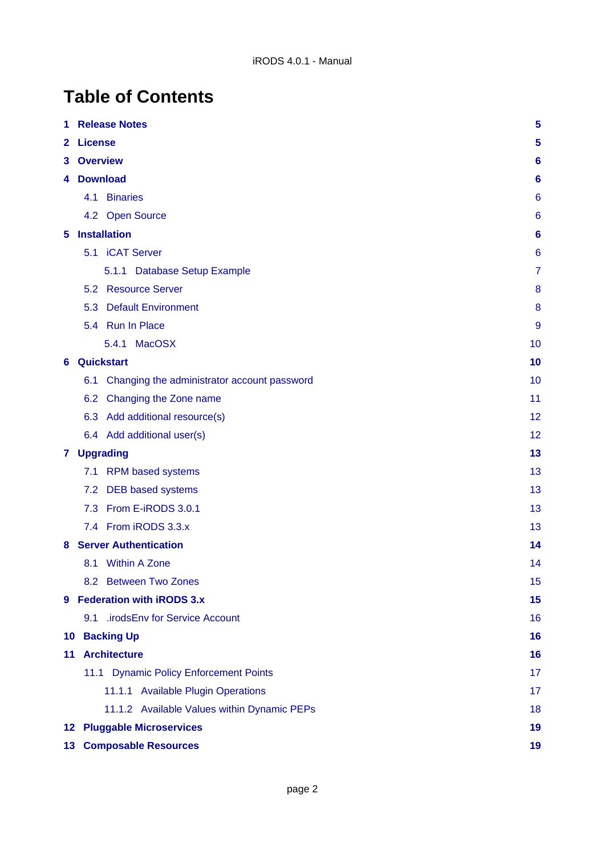# **Table of Contents**

| 1               | 5<br><b>Release Notes</b>                          |                 |  |  |
|-----------------|----------------------------------------------------|-----------------|--|--|
| 2               | <b>License</b>                                     | 5               |  |  |
| 3               | <b>Overview</b><br>6                               |                 |  |  |
| 4               | <b>Download</b>                                    | 6               |  |  |
|                 | <b>Binaries</b><br>4.1                             | 6               |  |  |
|                 | 4.2 Open Source                                    | 6               |  |  |
| 5.              | <b>Installation</b>                                | $6\phantom{1}6$ |  |  |
|                 | <b>iCAT Server</b><br>5.1                          | 6               |  |  |
|                 | 5.1.1 Database Setup Example                       | 7               |  |  |
|                 | 5.2 Resource Server                                | 8               |  |  |
|                 | <b>Default Environment</b><br>5.3                  | 8               |  |  |
|                 | 5.4 Run In Place                                   | 9               |  |  |
|                 | <b>MacOSX</b><br>5.4.1                             | 10              |  |  |
| 6               | Quickstart                                         | 10              |  |  |
|                 | Changing the administrator account password<br>6.1 | 10              |  |  |
|                 | 6.2 Changing the Zone name                         | 11              |  |  |
|                 | 6.3 Add additional resource(s)                     | 12              |  |  |
|                 | 6.4 Add additional user(s)                         | 12              |  |  |
|                 | 7 Upgrading                                        | 13              |  |  |
|                 | <b>RPM based systems</b><br>7.1                    | 13              |  |  |
|                 | <b>DEB</b> based systems<br>7.2                    | 13              |  |  |
|                 | From E-iRODS 3.0.1<br>7.3                          | 13              |  |  |
|                 | From iRODS 3.3.x<br>7.4                            | 13              |  |  |
| 8               | <b>Server Authentication</b>                       | 14              |  |  |
|                 | <b>Within A Zone</b><br>8.1                        | 14              |  |  |
|                 | 8.2 Between Two Zones                              | 15              |  |  |
| 9               | <b>Federation with iRODS 3.x</b>                   | 15              |  |  |
|                 | 9.1 .irodsEnv for Service Account                  | 16              |  |  |
| 10              | <b>Backing Up</b>                                  | 16              |  |  |
| 11              | <b>Architecture</b>                                | 16              |  |  |
|                 | 11.1 Dynamic Policy Enforcement Points             | 17              |  |  |
|                 | 11.1.1 Available Plugin Operations                 | 17              |  |  |
|                 | 11.1.2 Available Values within Dynamic PEPs        | 18              |  |  |
| 12 <sup>1</sup> | <b>Pluggable Microservices</b><br>19               |                 |  |  |
| 13 <sub>1</sub> | <b>Composable Resources</b>                        | 19              |  |  |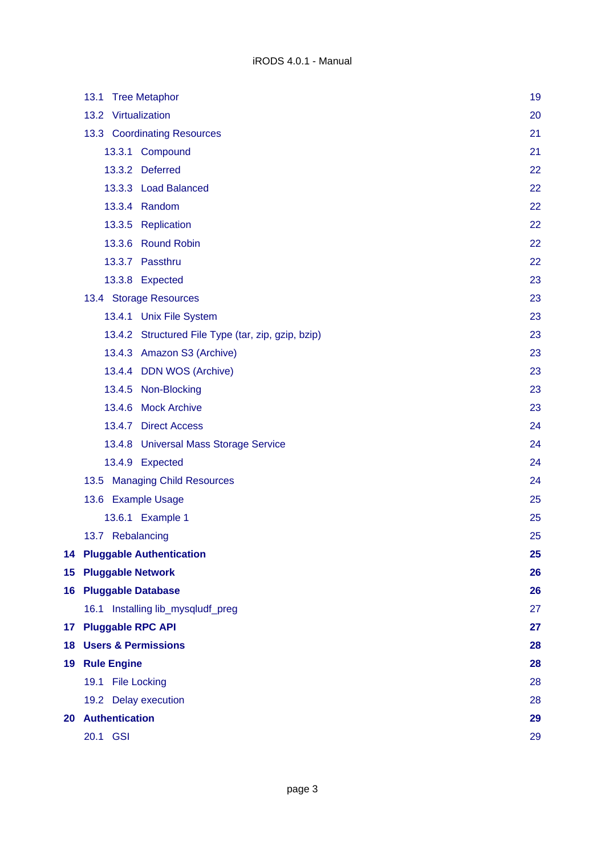|                 | 13.1 Tree Metaphor                                 | 19 |
|-----------------|----------------------------------------------------|----|
|                 | 13.2 Virtualization                                | 20 |
|                 | 13.3 Coordinating Resources                        | 21 |
|                 | 13.3.1 Compound                                    | 21 |
|                 | 13.3.2 Deferred                                    | 22 |
|                 | 13.3.3 Load Balanced                               | 22 |
|                 | 13.3.4 Random                                      | 22 |
|                 | 13.3.5 Replication                                 | 22 |
|                 | 13.3.6 Round Robin                                 | 22 |
|                 | 13.3.7 Passthru                                    | 22 |
|                 | 13.3.8 Expected                                    | 23 |
|                 | 13.4 Storage Resources                             | 23 |
|                 | 13.4.1 Unix File System                            | 23 |
|                 | 13.4.2 Structured File Type (tar, zip, gzip, bzip) | 23 |
|                 | 13.4.3 Amazon S3 (Archive)                         | 23 |
|                 | 13.4.4 DDN WOS (Archive)                           | 23 |
|                 | 13.4.5 Non-Blocking                                | 23 |
|                 | 13.4.6 Mock Archive                                | 23 |
|                 | 13.4.7 Direct Access                               | 24 |
|                 | 13.4.8 Universal Mass Storage Service              | 24 |
|                 | 13.4.9 Expected                                    | 24 |
|                 | 13.5 Managing Child Resources                      | 24 |
|                 | 13.6 Example Usage                                 | 25 |
|                 | 13.6.1 Example 1                                   | 25 |
|                 | 13.7 Rebalancing                                   | 25 |
|                 | <b>14 Pluggable Authentication</b>                 | 25 |
|                 | 15 Pluggable Network                               | 26 |
|                 | 16 Pluggable Database                              | 26 |
|                 | 16.1 Installing lib_mysqludf_preg                  | 27 |
| 17 <sub>1</sub> | <b>Pluggable RPC API</b>                           | 27 |
|                 | <b>18 Users &amp; Permissions</b>                  | 28 |
|                 | 19 Rule Engine                                     | 28 |
|                 | 19.1 File Locking                                  | 28 |
|                 | 19.2 Delay execution                               | 28 |
|                 | 20 Authentication                                  | 29 |
|                 | 20.1 GSI                                           | 29 |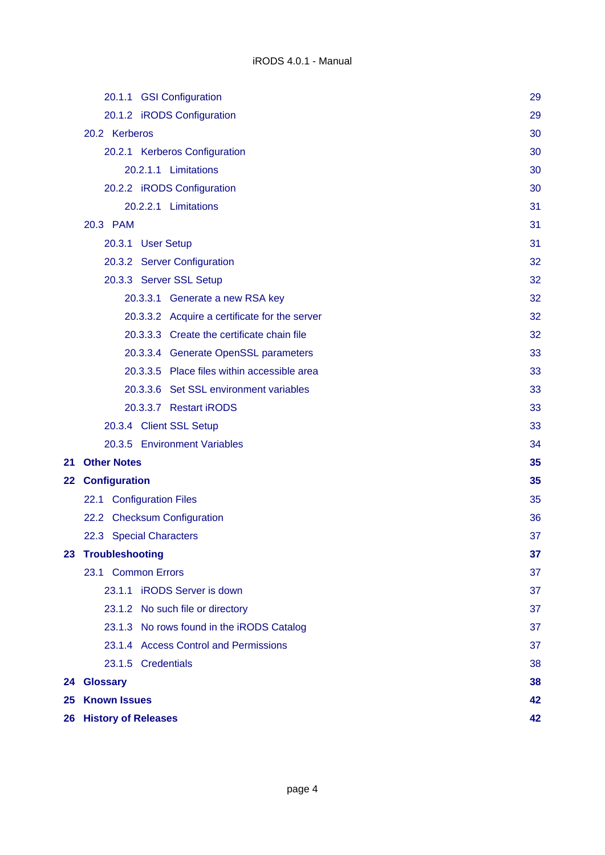|    | 20.1.1 GSI Configuration                      | 29       |
|----|-----------------------------------------------|----------|
|    | 20.1.2 iRODS Configuration                    | 29       |
|    | 20.2 Kerberos                                 | 30       |
|    | 20.2.1 Kerberos Configuration                 | 30       |
|    | 20.2.1.1 Limitations                          | 30       |
|    | 20.2.2 iRODS Configuration                    | 30       |
|    | 20.2.2.1 Limitations                          | 31       |
|    | 20.3 PAM                                      | 31       |
|    | 20.3.1 User Setup                             | 31       |
|    | 20.3.2 Server Configuration                   | 32       |
|    | 20.3.3 Server SSL Setup                       | 32       |
|    | 20.3.3.1 Generate a new RSA key               | 32       |
|    | 20.3.3.2 Acquire a certificate for the server | 32       |
|    | 20.3.3.3 Create the certificate chain file    | 32       |
|    | 20.3.3.4 Generate OpenSSL parameters          | 33       |
|    | 20.3.3.5 Place files within accessible area   | 33       |
|    | 20.3.3.6 Set SSL environment variables        | 33       |
|    | 20.3.3.7 Restart iRODS                        | 33       |
|    | 20.3.4 Client SSL Setup                       | 33       |
|    | 20.3.5 Environment Variables                  | 34       |
| 21 | <b>Other Notes</b>                            | 35<br>35 |
|    | 22 Configuration                              |          |
|    | 22.1 Configuration Files                      | 35       |
|    | 22.2 Checksum Configuration                   | 36       |
|    | 22.3 Special Characters                       | 37       |
|    | 23 Troubleshooting                            | 37       |
|    | 23.1 Common Errors                            | 37       |
|    | 23.1.1 iRODS Server is down                   | 37       |
|    | 23.1.2 No such file or directory              | 37       |
|    | 23.1.3 No rows found in the iRODS Catalog     | 37       |
|    | 23.1.4 Access Control and Permissions         | 37       |
|    | 23.1.5 Credentials                            | 38       |
|    | 24 Glossary                                   | 38       |
|    | 25 Known Issues                               | 42       |
|    | <b>26 History of Releases</b>                 | 42       |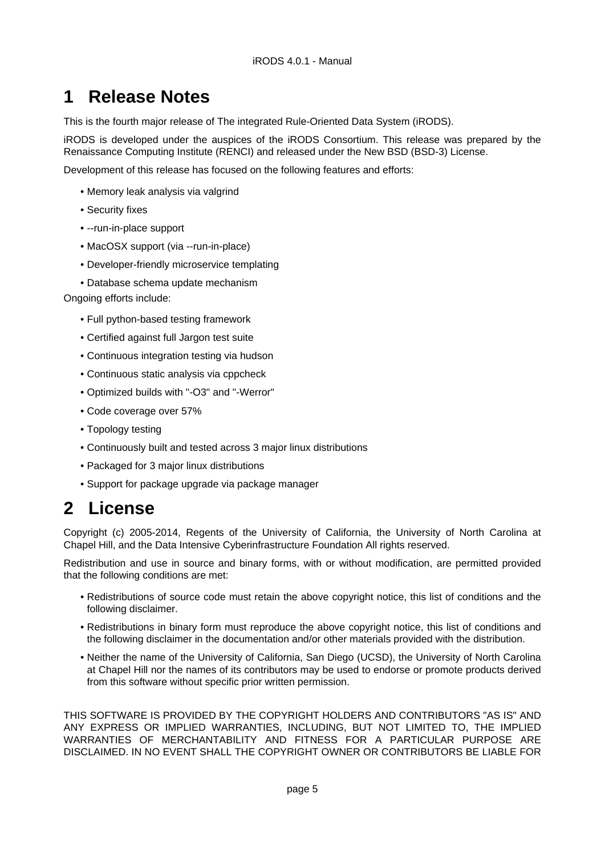# <span id="page-4-0"></span>**1 Release Notes**

This is the fourth major release of The integrated Rule-Oriented Data System (iRODS).

iRODS is developed under the auspices of the iRODS Consortium. This release was prepared by the Renaissance Computing Institute (RENCI) and released under the New BSD (BSD-3) License.

Development of this release has focused on the following features and efforts:

- Memory leak analysis via valgrind
- Security fixes
- --run-in-place support
- MacOSX support (via --run-in-place)
- Developer-friendly microservice templating
- Database schema update mechanism

Ongoing efforts include:

- Full python-based testing framework
- Certified against full Jargon test suite
- Continuous integration testing via hudson
- Continuous static analysis via cppcheck
- Optimized builds with "-O3" and "-Werror"
- Code coverage over 57%
- Topology testing
- Continuously built and tested across 3 major linux distributions
- Packaged for 3 major linux distributions
- Support for package upgrade via package manager

# <span id="page-4-1"></span>**2 License**

Copyright (c) 2005-2014, Regents of the University of California, the University of North Carolina at Chapel Hill, and the Data Intensive Cyberinfrastructure Foundation All rights reserved.

Redistribution and use in source and binary forms, with or without modification, are permitted provided that the following conditions are met:

- Redistributions of source code must retain the above copyright notice, this list of conditions and the following disclaimer.
- Redistributions in binary form must reproduce the above copyright notice, this list of conditions and the following disclaimer in the documentation and/or other materials provided with the distribution.
- Neither the name of the University of California, San Diego (UCSD), the University of North Carolina at Chapel Hill nor the names of its contributors may be used to endorse or promote products derived from this software without specific prior written permission.

THIS SOFTWARE IS PROVIDED BY THE COPYRIGHT HOLDERS AND CONTRIBUTORS "AS IS" AND ANY EXPRESS OR IMPLIED WARRANTIES, INCLUDING, BUT NOT LIMITED TO, THE IMPLIED WARRANTIES OF MERCHANTABILITY AND FITNESS FOR A PARTICULAR PURPOSE ARE DISCLAIMED. IN NO EVENT SHALL THE COPYRIGHT OWNER OR CONTRIBUTORS BE LIABLE FOR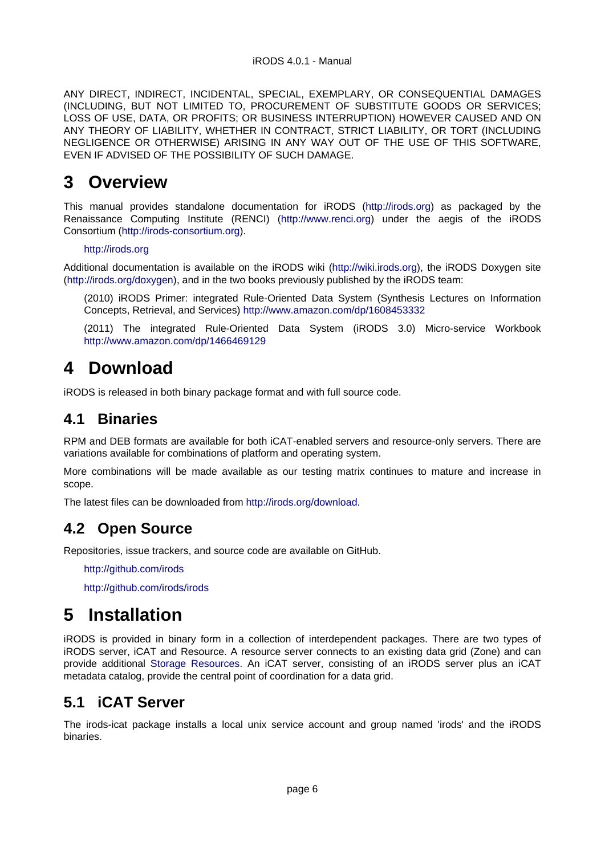ANY DIRECT, INDIRECT, INCIDENTAL, SPECIAL, EXEMPLARY, OR CONSEQUENTIAL DAMAGES (INCLUDING, BUT NOT LIMITED TO, PROCUREMENT OF SUBSTITUTE GOODS OR SERVICES; LOSS OF USE, DATA, OR PROFITS; OR BUSINESS INTERRUPTION) HOWEVER CAUSED AND ON ANY THEORY OF LIABILITY, WHETHER IN CONTRACT, STRICT LIABILITY, OR TORT (INCLUDING NEGLIGENCE OR OTHERWISE) ARISING IN ANY WAY OUT OF THE USE OF THIS SOFTWARE, EVEN IF ADVISED OF THE POSSIBILITY OF SUCH DAMAGE.

# <span id="page-5-0"></span>**3 Overview**

This manual provides standalone documentation for iRODS ([http://irods.org\)](http://irods.org) as packaged by the Renaissance Computing Institute (RENCI) (<http://www.renci.org>) under the aegis of the iRODS Consortium (<http://irods-consortium.org>).

#### <http://irods.org>

Additional documentation is available on the iRODS wiki [\(http://wiki.irods.org](http://wiki.irods.org)), the iRODS Doxygen site [\(http://irods.org/doxygen\)](http://irods.org/doxygen), and in the two books previously published by the iRODS team:

(2010) iRODS Primer: integrated Rule-Oriented Data System (Synthesis Lectures on Information Concepts, Retrieval, and Services)<http://www.amazon.com/dp/1608453332>

(2011) The integrated Rule-Oriented Data System (iRODS 3.0) Micro-service Workbook <http://www.amazon.com/dp/1466469129>

# <span id="page-5-1"></span>**4 Download**

iRODS is released in both binary package format and with full source code.

## <span id="page-5-2"></span>**4.1 Binaries**

RPM and DEB formats are available for both iCAT-enabled servers and resource-only servers. There are variations available for combinations of platform and operating system.

More combinations will be made available as our testing matrix continues to mature and increase in scope.

The latest files can be downloaded from [http://irods.org/download.](http://irods.org/download)

## <span id="page-5-3"></span>**4.2 Open Source**

Repositories, issue trackers, and source code are available on GitHub.

<http://github.com/irods>

<http://github.com/irods/irods>

# <span id="page-5-4"></span>**5 Installation**

iRODS is provided in binary form in a collection of interdependent packages. There are two types of iRODS server, iCAT and Resource. A resource server connects to an existing data grid (Zone) and can provide additional [Storage Resources.](#page-22-8) An iCAT server, consisting of an iRODS server plus an iCAT metadata catalog, provide the central point of coordination for a data grid.

## <span id="page-5-5"></span>**5.1 iCAT Server**

The irods-icat package installs a local unix service account and group named 'irods' and the iRODS binaries.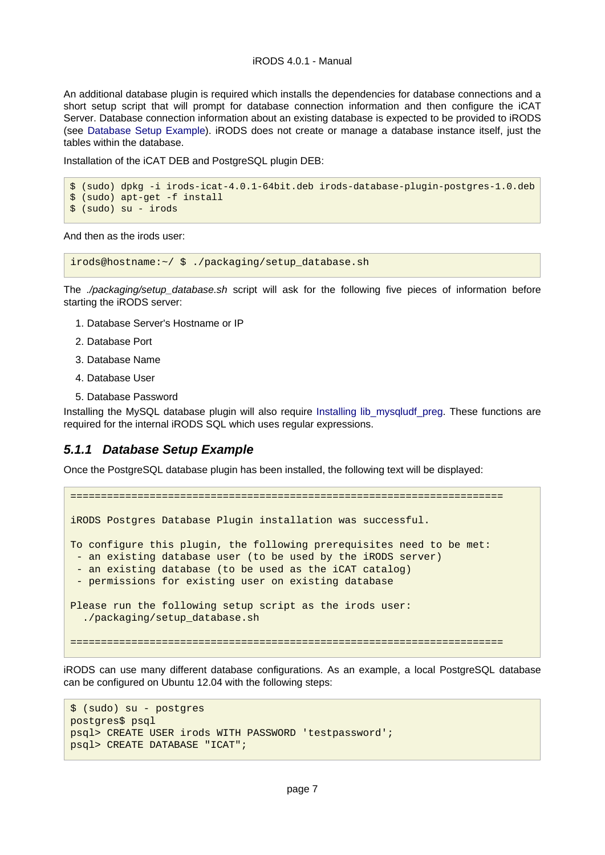#### iRODS 4.0.1 - Manual

An additional database plugin is required which installs the dependencies for database connections and a short setup script that will prompt for database connection information and then configure the iCAT Server. Database connection information about an existing database is expected to be provided to iRODS (see [Database Setup Example](#page-6-1)). iRODS does not create or manage a database instance itself, just the tables within the database.

Installation of the iCAT DEB and PostgreSQL plugin DEB:

```
$ (sudo) dpkg -i irods-icat-4.0.1-64bit.deb irods-database-plugin-postgres-1.0.deb
$ (sudo) apt-get -f install
$ (sudo) su - irods
```
And then as the irods user:

irods@hostname:~/ \$ ./packaging/setup\_database.sh

The ./packaging/setup\_database.sh script will ask for the following five pieces of information before starting the iRODS server:

- 1. Database Server's Hostname or IP
- 2. Database Port
- 3. Database Name
- 4. Database User
- 5. Database Password

Installing the MySQL database plugin will also require [Installing lib\\_mysqludf\\_preg.](#page-26-2) These functions are required for the internal iRODS SQL which uses regular expressions.

#### <span id="page-6-1"></span><span id="page-6-0"></span>**5.1.1 Database Setup Example**

Once the PostgreSQL database plugin has been installed, the following text will be displayed:

```
=======================================================================
iRODS Postgres Database Plugin installation was successful.
To configure this plugin, the following prerequisites need to be met:
  - an existing database user (to be used by the iRODS server)
  an existing database (to be used as the iCAT catalog)
  - permissions for existing user on existing database
Please run the following setup script as the irods user:
   ./packaging/setup_database.sh
=======================================================================
```
iRODS can use many different database configurations. As an example, a local PostgreSQL database can be configured on Ubuntu 12.04 with the following steps:

```
$ (sudo) su - postgres
postgres$ psql
psql> CREATE USER irods WITH PASSWORD 'testpassword';
psql> CREATE DATABASE "ICAT";
```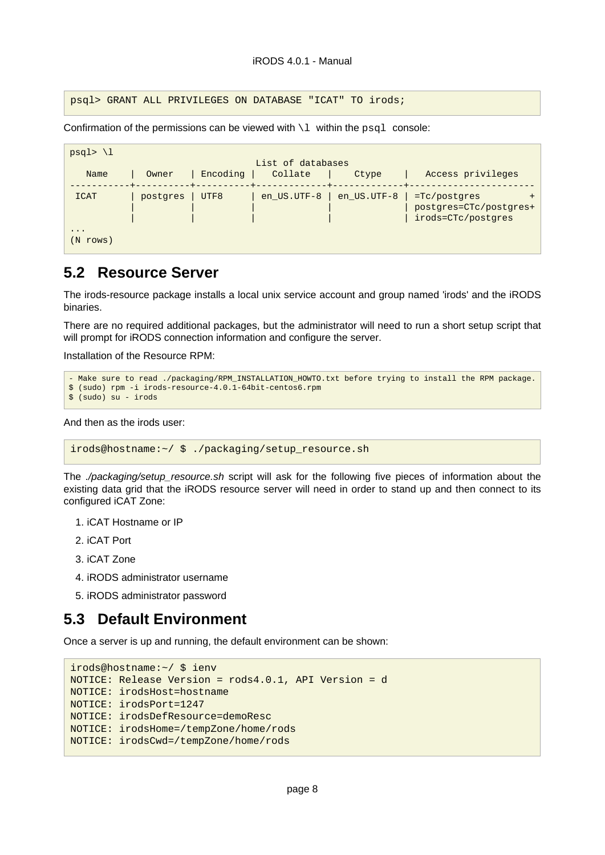psql> GRANT ALL PRIVILEGES ON DATABASE "ICAT" TO irods;

Confirmation of the permissions can be viewed with  $\lambda$  within the psql console:

| $psql$ > \l                        |                    |          |                   |             |                                                              |
|------------------------------------|--------------------|----------|-------------------|-------------|--------------------------------------------------------------|
|                                    |                    |          | List of databases |             |                                                              |
| Name                               | Owner<br>--------+ | Encoding | Collate           | Ctype       | Access privileges                                            |
| <b>ICAT</b>                        | postgres           | UTF8     | en US.UTF-8       | en_US.UTF-8 | =Tc/postgres<br>postgres=CTc/postgres+<br>irods=CTc/postgres |
| $\ddot{\phantom{0}}$<br>N<br>rows) |                    |          |                   |             |                                                              |

## <span id="page-7-0"></span>**5.2 Resource Server**

The irods-resource package installs a local unix service account and group named 'irods' and the iRODS binaries.

There are no required additional packages, but the administrator will need to run a short setup script that will prompt for iRODS connection information and configure the server.

Installation of the Resource RPM:

```
- Make sure to read ./packaging/RPM_INSTALLATION_HOWTO.txt before trying to install the RPM package.
$ (sudo) rpm -i irods-resource-4.0.1-64bit-centos6.rpm
$ (sudo) su - irods
```
And then as the irods user:

```
irods@hostname:~/ $ ./packaging/setup_resource.sh
```
The ./packaging/setup\_resource.sh script will ask for the following five pieces of information about the existing data grid that the iRODS resource server will need in order to stand up and then connect to its configured iCAT Zone:

- 1. iCAT Hostname or IP
- 2. iCAT Port
- 3. iCAT Zone
- 4. iRODS administrator username
- 5. iRODS administrator password

## <span id="page-7-1"></span>**5.3 Default Environment**

Once a server is up and running, the default environment can be shown:

```
irods@hostname:~/ $ ienv
NOTICE: Release Version = rods4.0.1, API Version = d
NOTICE: irodsHost=hostname
NOTICE: irodsPort=1247
NOTICE: irodsDefResource=demoResc
NOTICE: irodsHome=/tempZone/home/rods
NOTICE: irodsCwd=/tempZone/home/rods
```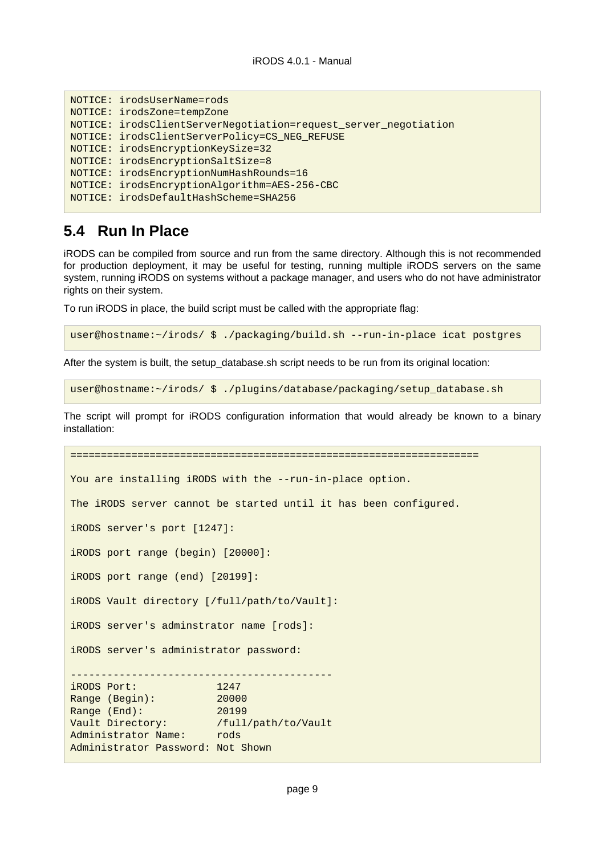```
NOTICE: irodsUserName=rods
NOTICE: irodsZone=tempZone
NOTICE: irodsClientServerNegotiation=request_server_negotiation
NOTICE: irodsClientServerPolicy=CS_NEG_REFUSE
NOTICE: irodsEncryptionKeySize=32
NOTICE: irodsEncryptionSaltSize=8
NOTICE: irodsEncryptionNumHashRounds=16
NOTICE: irodsEncryptionAlgorithm=AES-256-CBC
NOTICE: irodsDefaultHashScheme=SHA256
```
## <span id="page-8-0"></span>**5.4 Run In Place**

iRODS can be compiled from source and run from the same directory. Although this is not recommended for production deployment, it may be useful for testing, running multiple iRODS servers on the same system, running iRODS on systems without a package manager, and users who do not have administrator rights on their system.

To run iRODS in place, the build script must be called with the appropriate flag:

```
user@hostname:~/irods/ $ ./packaging/build.sh --run-in-place icat postgres
```
After the system is built, the setup\_database.sh script needs to be run from its original location:

user@hostname:~/irods/ \$ ./plugins/database/packaging/setup\_database.sh

The script will prompt for iRODS configuration information that would already be known to a binary installation:

```
===================================================================
You are installing iRODS with the --run-in-place option.
The iRODS server cannot be started until it has been configured.
iRODS server's port [1247]:
iRODS port range (begin) [20000]:
iRODS port range (end) [20199]:
iRODS Vault directory [/full/path/to/Vault]:
iRODS server's adminstrator name [rods]:
iRODS server's administrator password:
-------------------------------------------
iRODS Port: 1247
Range (Begin): 20000
Range (End): 20199
Vault Directory: /full/path/to/Vault
Administrator Name: rods
Administrator Password: Not Shown
```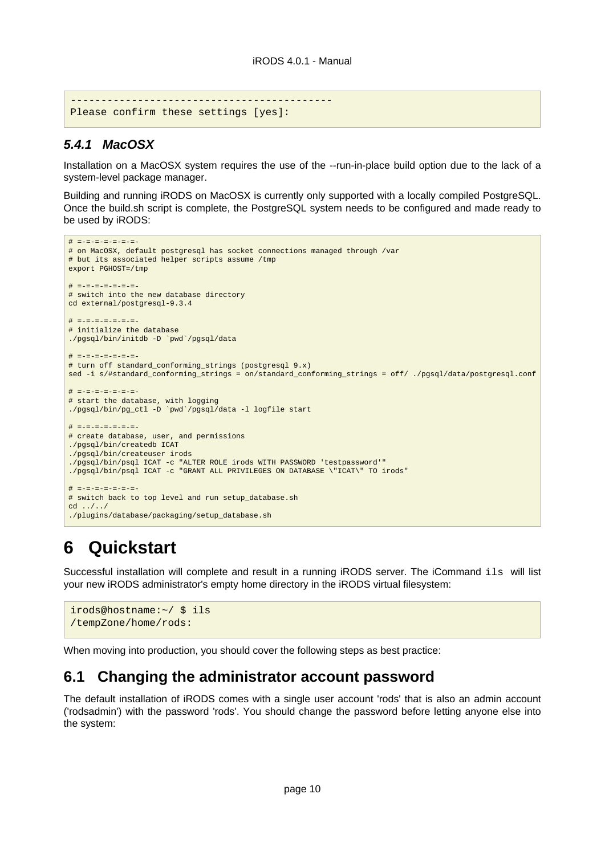```
-------------------------------------------
Please confirm these settings [yes]:
```
#### <span id="page-9-0"></span>**5.4.1 MacOSX**

Installation on a MacOSX system requires the use of the --run-in-place build option due to the lack of a system-level package manager.

Building and running iRODS on MacOSX is currently only supported with a locally compiled PostgreSQL. Once the build.sh script is complete, the PostgreSQL system needs to be configured and made ready to be used by iRODS:

```
# =-=-=-=-=-=-=-
# on MacOSX, default postgresql has socket connections managed through /var
# but its associated helper scripts assume /tmp
export PGHOST=/tmp
# =-=-=-=-=-=-=-
# switch into the new database directory
cd external/postgresql-9.3.4
# =-=-=-=-=-=-=-
# initialize the database
./pgsql/bin/initdb -D `pwd`/pgsql/data
# =-=-=-=-=-=-=-
# turn off standard conforming strings (postgresgl 9.x)
sed -i s/#standard_conforming_strings = on/standard_conforming_strings = off/ ./pgsql/data/postgresql.conf
# =-=-=-=-=-=-=-
# start the database, with logging
./pgsql/bin/pg_ctl -D `pwd`/pgsql/data -l logfile start
# =-=-=-=-=-=-=-
# create database, user, and permissions
./pgsql/bin/createdb ICAT
./pgsql/bin/createuser irods
./pgsql/bin/psql ICAT -c "ALTER ROLE irods WITH PASSWORD 'testpassword'"
./pgsql/bin/psql ICAT -c "GRANT ALL PRIVILEGES ON DATABASE \"ICAT\" TO irods"
# =-=-=-=-=-=-=-
# switch back to top level and run setup_database.sh
cd ../../
./plugins/database/packaging/setup_database.sh
```
# <span id="page-9-1"></span>**6 Quickstart**

Successful installation will complete and result in a running iRODS server. The iCommand ils will list your new iRODS administrator's empty home directory in the iRODS virtual filesystem:

```
irods@hostname:~/ $ ils
/tempZone/home/rods:
```
When moving into production, you should cover the following steps as best practice:

## <span id="page-9-2"></span>**6.1 Changing the administrator account password**

The default installation of iRODS comes with a single user account 'rods' that is also an admin account ('rodsadmin') with the password 'rods'. You should change the password before letting anyone else into the system: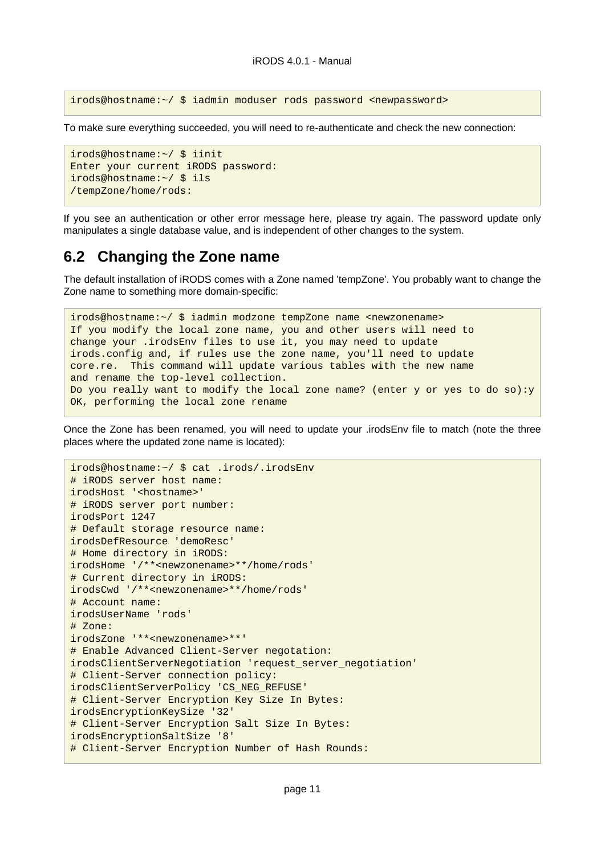irods@hostname:~/ \$ iadmin moduser rods password <newpassword>

To make sure everything succeeded, you will need to re-authenticate and check the new connection:

```
irods@hostname:~/ $ iinit
Enter your current iRODS password:
irods@hostname:~/ $ ils
/tempZone/home/rods:
```
If you see an authentication or other error message here, please try again. The password update only manipulates a single database value, and is independent of other changes to the system.

## <span id="page-10-0"></span>**6.2 Changing the Zone name**

The default installation of iRODS comes with a Zone named 'tempZone'. You probably want to change the Zone name to something more domain-specific:

irods@hostname:~/ \$ iadmin modzone tempZone name <newzonename> If you modify the local zone name, you and other users will need to change your .irodsEnv files to use it, you may need to update irods.config and, if rules use the zone name, you'll need to update core.re. This command will update various tables with the new name and rename the top-level collection. Do you really want to modify the local zone name? (enter y or yes to do so):y OK, performing the local zone rename

Once the Zone has been renamed, you will need to update your .irodsEnv file to match (note the three places where the updated zone name is located):

```
irods@hostname:~/ $ cat .irods/.irodsEnv
# iRODS server host name:
irodsHost '<hostname>'
# iRODS server port number:
irodsPort 1247
# Default storage resource name:
irodsDefResource 'demoResc'
# Home directory in iRODS:
irodsHome '/**<newzonename>**/home/rods'
# Current directory in iRODS:
irodsCwd '/**<newzonename>**/home/rods'
# Account name:
irodsUserName 'rods'
# Zone:
irodsZone '**<newzonename>**'
# Enable Advanced Client-Server negotation:
irodsClientServerNegotiation 'request_server_negotiation'
# Client-Server connection policy:
irodsClientServerPolicy 'CS_NEG_REFUSE'
# Client-Server Encryption Key Size In Bytes:
irodsEncryptionKeySize '32'
# Client-Server Encryption Salt Size In Bytes:
irodsEncryptionSaltSize '8'
# Client-Server Encryption Number of Hash Rounds:
```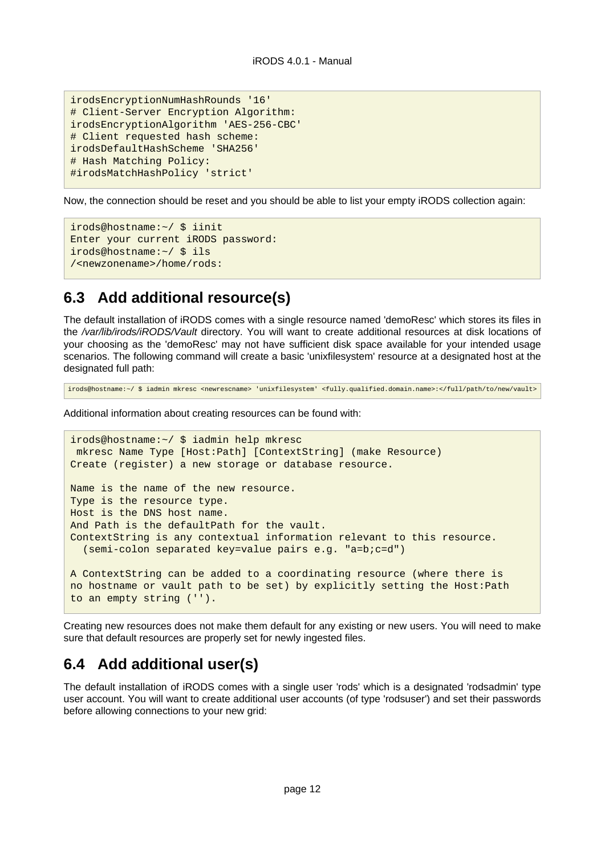```
irodsEncryptionNumHashRounds '16'
# Client-Server Encryption Algorithm:
irodsEncryptionAlgorithm 'AES-256-CBC'
# Client requested hash scheme:
irodsDefaultHashScheme 'SHA256'
# Hash Matching Policy:
#irodsMatchHashPolicy 'strict'
```
Now, the connection should be reset and you should be able to list your empty iRODS collection again:

```
irods@hostname:~/ $ iinit
Enter your current iRODS password:
irods@hostname:~/ $ ils
/<newzonename>/home/rods:
```
## <span id="page-11-0"></span>**6.3 Add additional resource(s)**

The default installation of iRODS comes with a single resource named 'demoResc' which stores its files in the /var/lib/irods/iRODS/Vault directory. You will want to create additional resources at disk locations of your choosing as the 'demoResc' may not have sufficient disk space available for your intended usage scenarios. The following command will create a basic 'unixfilesystem' resource at a designated host at the designated full path:

irods@hostname:~/ \$ iadmin mkresc <newrescname> 'unixfilesystem' <fully.qualified.domain.name>:</full/path/to/new/vault>

Additional information about creating resources can be found with:

```
irods@hostname:~/ $ iadmin help mkresc
 mkresc Name Type [Host:Path] [ContextString] (make Resource)
Create (register) a new storage or database resource.
Name is the name of the new resource.
Type is the resource type.
Host is the DNS host name.
And Path is the defaultPath for the vault.
ContextString is any contextual information relevant to this resource.
   (semi-colon separated key=value pairs e.g. "a=b;c=d")
A ContextString can be added to a coordinating resource (where there is
no hostname or vault path to be set) by explicitly setting the Host:Path
to an empty string ('').
```
Creating new resources does not make them default for any existing or new users. You will need to make sure that default resources are properly set for newly ingested files.

## <span id="page-11-1"></span>**6.4 Add additional user(s)**

The default installation of iRODS comes with a single user 'rods' which is a designated 'rodsadmin' type user account. You will want to create additional user accounts (of type 'rodsuser') and set their passwords before allowing connections to your new grid: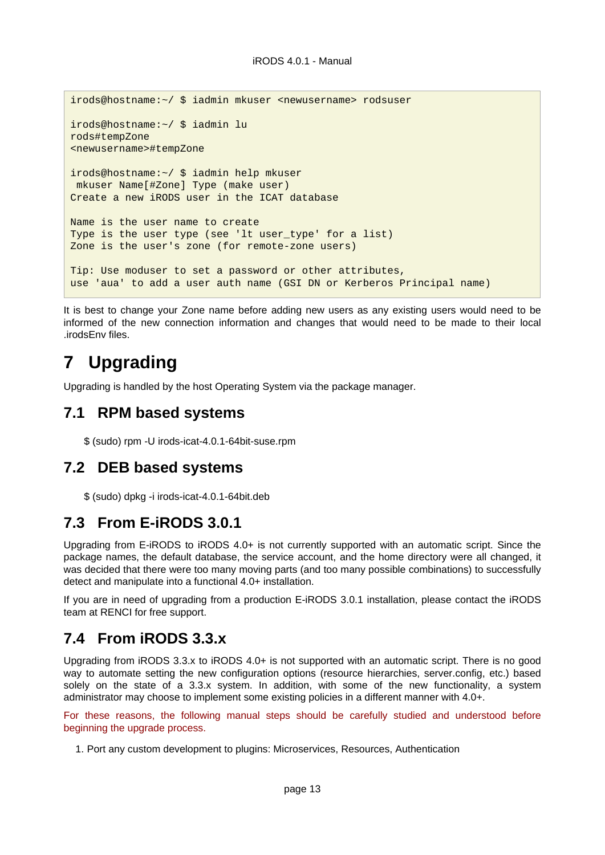```
irods@hostname:~/ $ iadmin mkuser <newusername> rodsuser
irods@hostname:~/ $ iadmin lu
rods#tempZone
<newusername>#tempZone
irods@hostname:~/ $ iadmin help mkuser
 mkuser Name[#Zone] Type (make user)
Create a new iRODS user in the ICAT database
Name is the user name to create
Type is the user type (see 'lt user_type' for a list)
Zone is the user's zone (for remote-zone users)
Tip: Use moduser to set a password or other attributes,
use 'aua' to add a user auth name (GSI DN or Kerberos Principal name)
```
It is best to change your Zone name before adding new users as any existing users would need to be informed of the new connection information and changes that would need to be made to their local .irodsEnv files.

# <span id="page-12-0"></span>**7 Upgrading**

Upgrading is handled by the host Operating System via the package manager.

## <span id="page-12-1"></span>**7.1 RPM based systems**

\$ (sudo) rpm -U irods-icat-4.0.1-64bit-suse.rpm

## <span id="page-12-2"></span>**7.2 DEB based systems**

\$ (sudo) dpkg -i irods-icat-4.0.1-64bit.deb

## <span id="page-12-3"></span>**7.3 From E-iRODS 3.0.1**

Upgrading from E-iRODS to iRODS 4.0+ is not currently supported with an automatic script. Since the package names, the default database, the service account, and the home directory were all changed, it was decided that there were too many moving parts (and too many possible combinations) to successfully detect and manipulate into a functional 4.0+ installation.

If you are in need of upgrading from a production E-iRODS 3.0.1 installation, please contact the iRODS team at RENCI for free support.

## <span id="page-12-4"></span>**7.4 From iRODS 3.3.x**

Upgrading from iRODS 3.3.x to iRODS 4.0+ is not supported with an automatic script. There is no good way to automate setting the new configuration options (resource hierarchies, server.config, etc.) based solely on the state of a 3.3.x system. In addition, with some of the new functionality, a system administrator may choose to implement some existing policies in a different manner with 4.0+.

For these reasons, the following manual steps should be carefully studied and understood before beginning the upgrade process.

1. Port any custom development to plugins: Microservices, Resources, Authentication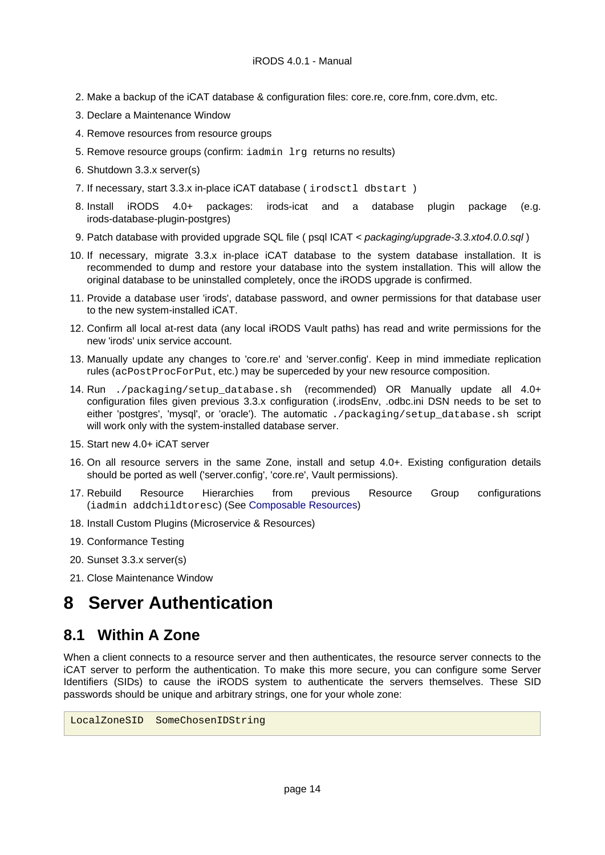- 2. Make a backup of the iCAT database & configuration files: core.re, core.fnm, core.dvm, etc.
- 3. Declare a Maintenance Window
- 4. Remove resources from resource groups
- 5. Remove resource groups (confirm: iadmin lrg returns no results)
- 6. Shutdown 3.3.x server(s)
- 7. If necessary, start 3.3.x in-place iCAT database ( irodsctl dbstart )
- 8. Install iRODS 4.0+ packages: irods-icat and a database plugin package (e.g. irods-database-plugin-postgres)
- 9. Patch database with provided upgrade SQL file ( psql ICAT < packaging/upgrade-3.3.xto4.0.0.sql)
- 10. If necessary, migrate 3.3.x in-place iCAT database to the system database installation. It is recommended to dump and restore your database into the system installation. This will allow the original database to be uninstalled completely, once the iRODS upgrade is confirmed.
- 11. Provide a database user 'irods', database password, and owner permissions for that database user to the new system-installed iCAT.
- 12. Confirm all local at-rest data (any local iRODS Vault paths) has read and write permissions for the new 'irods' unix service account.
- 13. Manually update any changes to 'core.re' and 'server.config'. Keep in mind immediate replication rules (acPostProcForPut, etc.) may be superceded by your new resource composition.
- 14. Run ./packaging/setup\_database.sh (recommended) OR Manually update all 4.0+ configuration files given previous 3.3.x configuration (.irodsEnv, .odbc.ini DSN needs to be set to either 'postgres', 'mysql', or 'oracle'). The automatic ./packaging/setup\_database.sh script will work only with the system-installed database server.
- 15. Start new 4.0+ iCAT server
- 16. On all resource servers in the same Zone, install and setup 4.0+. Existing configuration details should be ported as well ('server.config', 'core.re', Vault permissions).
- 17. Rebuild Resource Hierarchies from previous Resource Group configurations (iadmin addchildtoresc) (See [Composable Resources\)](#page-18-3)
- 18. Install Custom Plugins (Microservice & Resources)
- 19. Conformance Testing
- 20. Sunset 3.3.x server(s)
- 21. Close Maintenance Window

# <span id="page-13-0"></span>**8 Server Authentication**

## <span id="page-13-1"></span>**8.1 Within A Zone**

When a client connects to a resource server and then authenticates, the resource server connects to the iCAT server to perform the authentication. To make this more secure, you can configure some Server Identifiers (SIDs) to cause the iRODS system to authenticate the servers themselves. These SID passwords should be unique and arbitrary strings, one for your whole zone:

LocalZoneSID SomeChosenIDString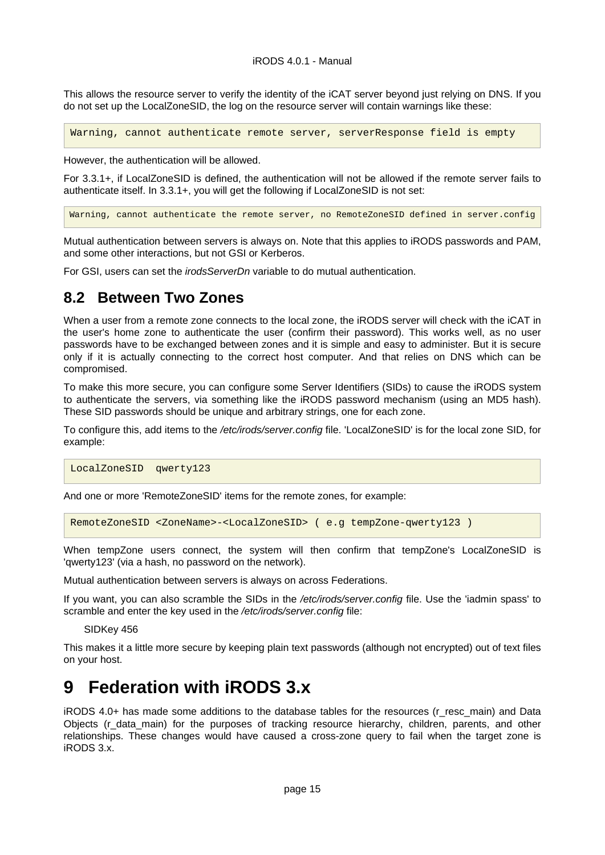This allows the resource server to verify the identity of the iCAT server beyond just relying on DNS. If you do not set up the LocalZoneSID, the log on the resource server will contain warnings like these:

Warning, cannot authenticate remote server, serverResponse field is empty

However, the authentication will be allowed.

For 3.3.1+, if LocalZoneSID is defined, the authentication will not be allowed if the remote server fails to authenticate itself. In 3.3.1+, you will get the following if LocalZoneSID is not set:

Warning, cannot authenticate the remote server, no RemoteZoneSID defined in server.config

Mutual authentication between servers is always on. Note that this applies to iRODS passwords and PAM, and some other interactions, but not GSI or Kerberos.

For GSI, users can set the irodsServerDn variable to do mutual authentication.

## <span id="page-14-0"></span>**8.2 Between Two Zones**

When a user from a remote zone connects to the local zone, the iRODS server will check with the iCAT in the user's home zone to authenticate the user (confirm their password). This works well, as no user passwords have to be exchanged between zones and it is simple and easy to administer. But it is secure only if it is actually connecting to the correct host computer. And that relies on DNS which can be compromised.

To make this more secure, you can configure some Server Identifiers (SIDs) to cause the iRODS system to authenticate the servers, via something like the iRODS password mechanism (using an MD5 hash). These SID passwords should be unique and arbitrary strings, one for each zone.

To configure this, add items to the /etc/irods/server.config file. 'LocalZoneSID' is for the local zone SID, for example:

LocalZoneSID qwerty123

And one or more 'RemoteZoneSID' items for the remote zones, for example:

RemoteZoneSID <ZoneName>-<LocalZoneSID> ( e.g tempZone-qwerty123 )

When tempZone users connect, the system will then confirm that tempZone's LocalZoneSID is 'qwerty123' (via a hash, no password on the network).

Mutual authentication between servers is always on across Federations.

If you want, you can also scramble the SIDs in the /etc/irods/server.config file. Use the 'iadmin spass' to scramble and enter the key used in the /etc/irods/server.config file:

SIDKey 456

This makes it a little more secure by keeping plain text passwords (although not encrypted) out of text files on your host.

# <span id="page-14-1"></span>**9 Federation with iRODS 3.x**

iRODS 4.0+ has made some additions to the database tables for the resources (r\_resc\_main) and Data Objects (r\_data\_main) for the purposes of tracking resource hierarchy, children, parents, and other relationships. These changes would have caused a cross-zone query to fail when the target zone is iRODS 3.x.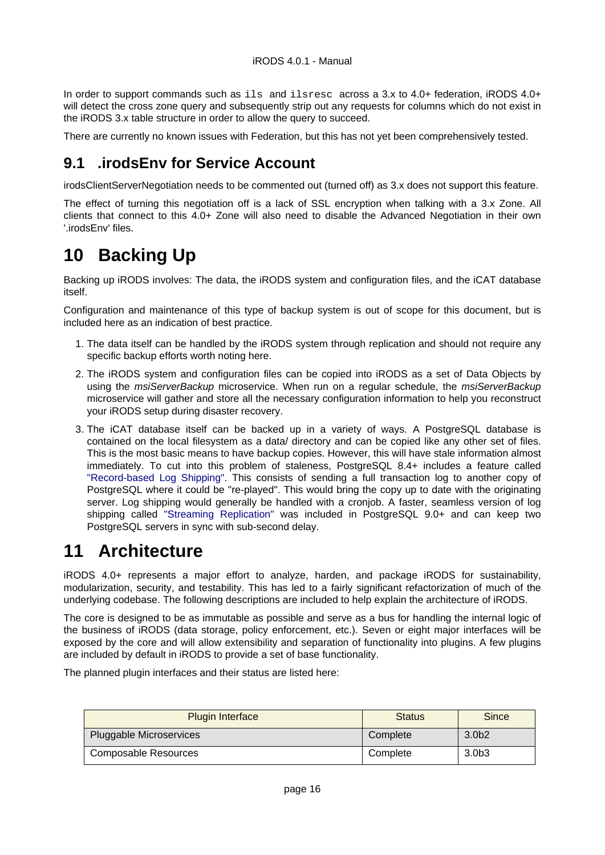In order to support commands such as ils and ilsresc across a 3.x to 4.0+ federation, iRODS 4.0+ will detect the cross zone query and subsequently strip out any requests for columns which do not exist in the iRODS 3.x table structure in order to allow the query to succeed.

There are currently no known issues with Federation, but this has not yet been comprehensively tested.

## <span id="page-15-0"></span>**9.1 .irodsEnv for Service Account**

irodsClientServerNegotiation needs to be commented out (turned off) as 3.x does not support this feature.

The effect of turning this negotiation off is a lack of SSL encryption when talking with a 3.x Zone. All clients that connect to this 4.0+ Zone will also need to disable the Advanced Negotiation in their own '.irodsEnv' files.

# <span id="page-15-1"></span>**10 Backing Up**

Backing up iRODS involves: The data, the iRODS system and configuration files, and the iCAT database itself.

Configuration and maintenance of this type of backup system is out of scope for this document, but is included here as an indication of best practice.

- 1. The data itself can be handled by the iRODS system through replication and should not require any specific backup efforts worth noting here.
- 2. The iRODS system and configuration files can be copied into iRODS as a set of Data Objects by using the *msiServerBackup* microservice. When run on a regular schedule, the *msiServerBackup* microservice will gather and store all the necessary configuration information to help you reconstruct your iRODS setup during disaster recovery.
- 3. The iCAT database itself can be backed up in a variety of ways. A PostgreSQL database is contained on the local filesystem as a data/ directory and can be copied like any other set of files. This is the most basic means to have backup copies. However, this will have stale information almost immediately. To cut into this problem of staleness, PostgreSQL 8.4+ includes a feature called ["Record-based Log Shipping".](http://www.postgresql.org/docs/8.4/static/warm-standby.html#WARM-STANDBY-RECORD) This consists of sending a full transaction log to another copy of PostgreSQL where it could be "re-played". This would bring the copy up to date with the originating server. Log shipping would generally be handled with a cronjob. A faster, seamless version of log shipping called ["Streaming Replication" w](http://www.postgresql.org/docs/9.0/static/warm-standby.html#STREAMING-REPLICATION)as included in PostgreSQL 9.0+ and can keep two PostgreSQL servers in sync with sub-second delay.

# <span id="page-15-2"></span>**11 Architecture**

iRODS 4.0+ represents a major effort to analyze, harden, and package iRODS for sustainability, modularization, security, and testability. This has led to a fairly significant refactorization of much of the underlying codebase. The following descriptions are included to help explain the architecture of iRODS.

The core is designed to be as immutable as possible and serve as a bus for handling the internal logic of the business of iRODS (data storage, policy enforcement, etc.). Seven or eight major interfaces will be exposed by the core and will allow extensibility and separation of functionality into plugins. A few plugins are included by default in iRODS to provide a set of base functionality.

The planned plugin interfaces and their status are listed here:

| <b>Plugin Interface</b> | <b>Status</b> | Since |
|-------------------------|---------------|-------|
| Pluggable Microservices | Complete      | 3.0b2 |
| Composable Resources    | Complete      | 3.0b3 |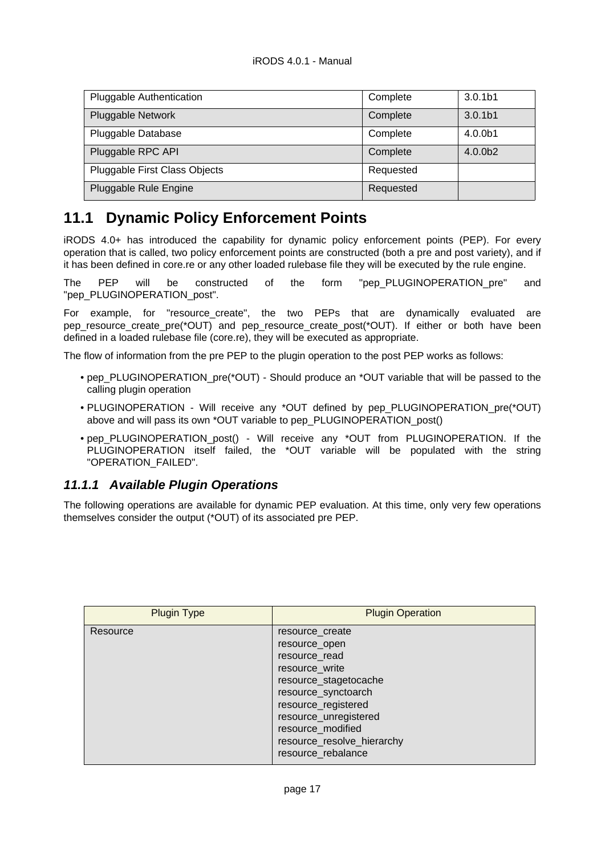| Pluggable Authentication      | Complete  | 3.0.1 <sub>b1</sub> |
|-------------------------------|-----------|---------------------|
| <b>Pluggable Network</b>      | Complete  | 3.0.1 <sub>b1</sub> |
| Pluggable Database            | Complete  | 4.0.0b1             |
| Pluggable RPC API             | Complete  | 4.0.0 <sub>b2</sub> |
| Pluggable First Class Objects | Requested |                     |
| Pluggable Rule Engine         | Requested |                     |

## <span id="page-16-0"></span>**11.1 Dynamic Policy Enforcement Points**

iRODS 4.0+ has introduced the capability for dynamic policy enforcement points (PEP). For every operation that is called, two policy enforcement points are constructed (both a pre and post variety), and if it has been defined in core.re or any other loaded rulebase file they will be executed by the rule engine.

The PEP will be constructed of the form "pep\_PLUGINOPERATION\_pre" and "pep\_PLUGINOPERATION\_post".

For example, for "resource\_create", the two PEPs that are dynamically evaluated are pep\_resource\_create\_pre(\*OUT) and pep\_resource\_create\_post(\*OUT). If either or both have been defined in a loaded rulebase file (core.re), they will be executed as appropriate.

The flow of information from the pre PEP to the plugin operation to the post PEP works as follows:

- pep\_PLUGINOPERATION\_pre(\*OUT) Should produce an \*OUT variable that will be passed to the calling plugin operation
- PLUGINOPERATION Will receive any \*OUT defined by pep PLUGINOPERATION pre(\*OUT) above and will pass its own \*OUT variable to pep\_PLUGINOPERATION\_post()
- pep\_PLUGINOPERATION\_post() Will receive any \*OUT from PLUGINOPERATION. If the PLUGINOPERATION itself failed, the \*OUT variable will be populated with the string "OPERATION\_FAILED".

#### <span id="page-16-1"></span>**11.1.1 Available Plugin Operations**

The following operations are available for dynamic PEP evaluation. At this time, only very few operations themselves consider the output (\*OUT) of its associated pre PEP.

| <b>Plugin Type</b> | <b>Plugin Operation</b>                                                                                                                                                                                                                      |
|--------------------|----------------------------------------------------------------------------------------------------------------------------------------------------------------------------------------------------------------------------------------------|
| Resource           | resource create<br>resource_open<br>resource_read<br>resource_write<br>resource_stagetocache<br>resource_synctoarch<br>resource_registered<br>resource_unregistered<br>resource_modified<br>resource_resolve_hierarchy<br>resource_rebalance |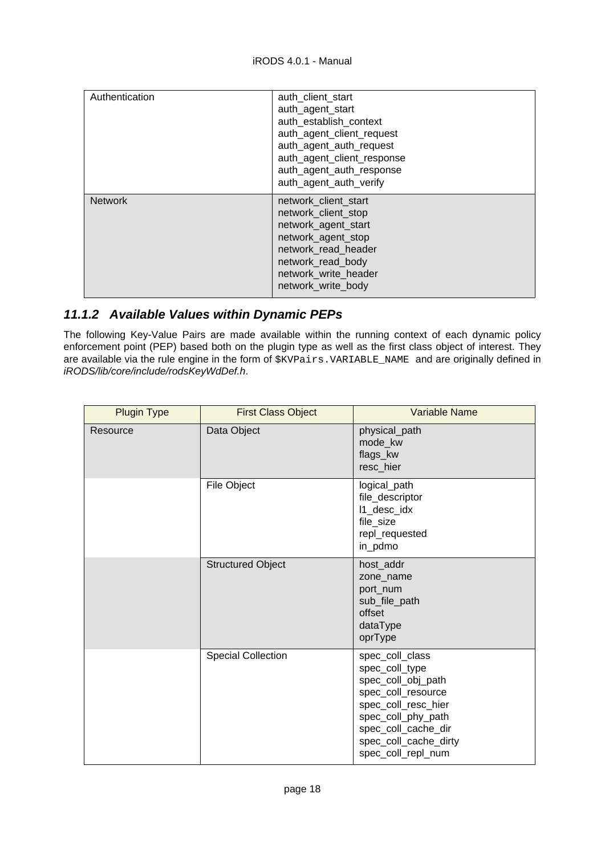| Authentication | auth client start<br>auth_agent_start<br>auth establish context<br>auth_agent_client_request<br>auth_agent_auth_request<br>auth_agent_client_response<br>auth_agent_auth_response<br>auth agent auth verify |
|----------------|-------------------------------------------------------------------------------------------------------------------------------------------------------------------------------------------------------------|
| <b>Network</b> | network client start<br>network client stop<br>network_agent_start<br>network_agent_stop<br>network read header<br>network_read_body<br>network write header<br>network_write_body                          |

## <span id="page-17-0"></span>**11.1.2 Available Values within Dynamic PEPs**

The following Key-Value Pairs are made available within the running context of each dynamic policy enforcement point (PEP) based both on the plugin type as well as the first class object of interest. They are available via the rule engine in the form of \$KVPairs.VARIABLE\_NAME and are originally defined in iRODS/lib/core/include/rodsKeyWdDef.h.

| <b>Plugin Type</b> | <b>First Class Object</b> | <b>Variable Name</b>                                                                                                                                                                             |
|--------------------|---------------------------|--------------------------------------------------------------------------------------------------------------------------------------------------------------------------------------------------|
| Resource           | Data Object               | physical_path<br>mode_kw<br>flags_kw<br>resc_hier                                                                                                                                                |
|                    | File Object               | logical_path<br>file_descriptor<br>I1_desc_idx<br>file_size<br>repl_requested<br>in_pdmo                                                                                                         |
|                    | <b>Structured Object</b>  | host_addr<br>zone_name<br>port_num<br>sub_file_path<br>offset<br>dataType<br>oprType                                                                                                             |
|                    | <b>Special Collection</b> | spec_coll_class<br>spec_coll_type<br>spec_coll_obj_path<br>spec_coll_resource<br>spec_coll_resc_hier<br>spec_coll_phy_path<br>spec_coll_cache_dir<br>spec_coll_cache_dirty<br>spec_coll_repl_num |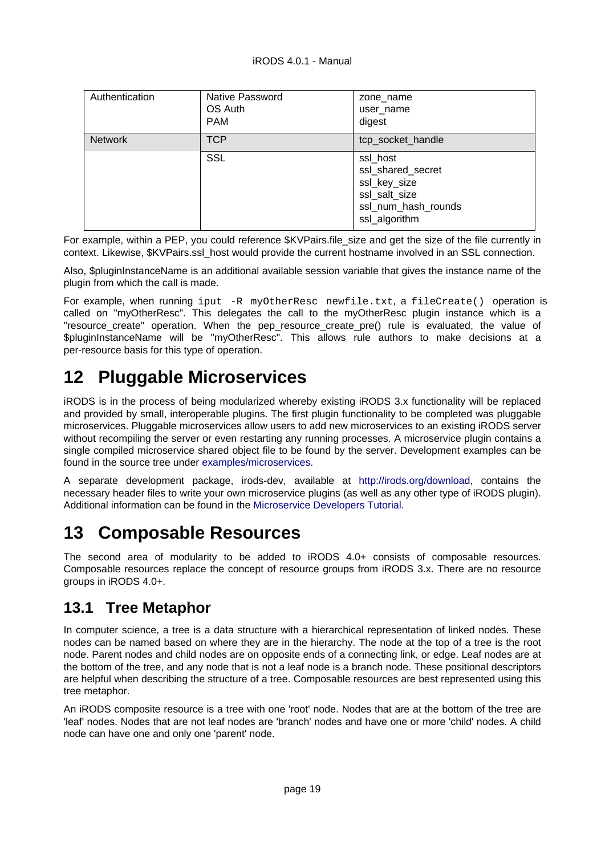| Authentication | Native Password<br>OS Auth<br><b>PAM</b> | zone name<br>user name<br>digest                                                                       |
|----------------|------------------------------------------|--------------------------------------------------------------------------------------------------------|
| <b>Network</b> | <b>TCP</b>                               | tcp_socket_handle                                                                                      |
|                | <b>SSL</b>                               | ssl_host<br>ssl_shared_secret<br>ssl_key_size<br>ssl_salt_size<br>ssl_num_hash_rounds<br>ssl_algorithm |

For example, within a PEP, you could reference \$KVPairs.file size and get the size of the file currently in context. Likewise, \$KVPairs.ssl\_host would provide the current hostname involved in an SSL connection.

Also, \$pluginInstanceName is an additional available session variable that gives the instance name of the plugin from which the call is made.

For example, when running iput -R myOtherResc newfile.txt, a fileCreate() operation is called on "myOtherResc". This delegates the call to the myOtherResc plugin instance which is a "resource\_create" operation. When the pep\_resource\_create\_pre() rule is evaluated, the value of \$pluginInstanceName will be "myOtherResc". This allows rule authors to make decisions at a per-resource basis for this type of operation.

# <span id="page-18-0"></span>**12 Pluggable Microservices**

iRODS is in the process of being modularized whereby existing iRODS 3.x functionality will be replaced and provided by small, interoperable plugins. The first plugin functionality to be completed was pluggable microservices. Pluggable microservices allow users to add new microservices to an existing iRODS server without recompiling the server or even restarting any running processes. A microservice plugin contains a single compiled microservice shared object file to be found by the server. Development examples can be found in the source tree under [examples/microservices.](https://github.com/irods/irods/tree/master/examples/microservices)

A separate development package, irods-dev, available at [http://irods.org/download,](http://irods.org/download) contains the necessary header files to write your own microservice plugins (as well as any other type of iRODS plugin). Additional information can be found in the [Microservice Developers Tutorial](https://github.com/irods/irods/blob/master/examples/microservices/microservice_tutorial.rst).

# <span id="page-18-3"></span><span id="page-18-1"></span>**13 Composable Resources**

The second area of modularity to be added to iRODS 4.0+ consists of composable resources. Composable resources replace the concept of resource groups from iRODS 3.x. There are no resource groups in iRODS 4.0+.

## <span id="page-18-2"></span>**13.1 Tree Metaphor**

In computer science, a tree is a data structure with a hierarchical representation of linked nodes. These nodes can be named based on where they are in the hierarchy. The node at the top of a tree is the root node. Parent nodes and child nodes are on opposite ends of a connecting link, or edge. Leaf nodes are at the bottom of the tree, and any node that is not a leaf node is a branch node. These positional descriptors are helpful when describing the structure of a tree. Composable resources are best represented using this tree metaphor.

An iRODS composite resource is a tree with one 'root' node. Nodes that are at the bottom of the tree are 'leaf' nodes. Nodes that are not leaf nodes are 'branch' nodes and have one or more 'child' nodes. A child node can have one and only one 'parent' node.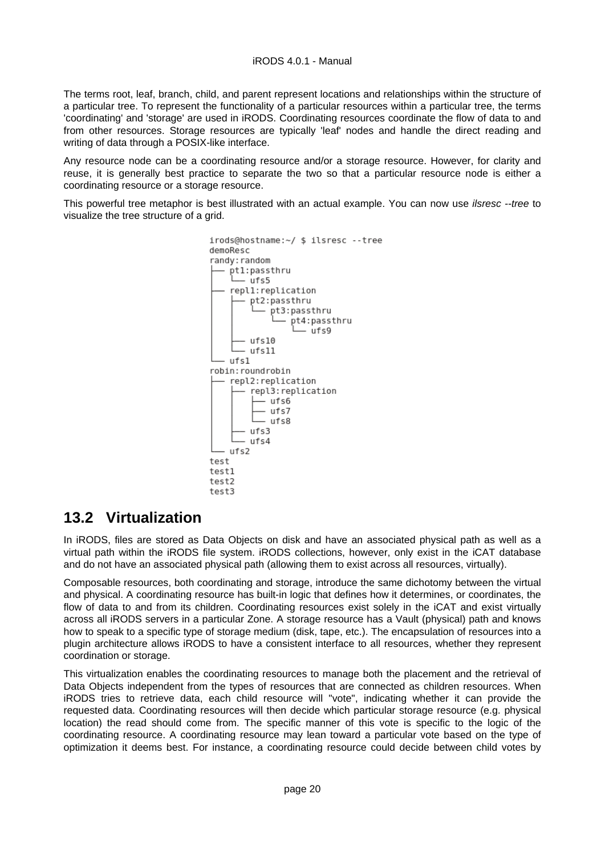The terms root, leaf, branch, child, and parent represent locations and relationships within the structure of a particular tree. To represent the functionality of a particular resources within a particular tree, the terms 'coordinating' and 'storage' are used in iRODS. Coordinating resources coordinate the flow of data to and from other resources. Storage resources are typically 'leaf' nodes and handle the direct reading and writing of data through a POSIX-like interface.

Any resource node can be a coordinating resource and/or a storage resource. However, for clarity and reuse, it is generally best practice to separate the two so that a particular resource node is either a coordinating resource or a storage resource.

This powerful tree metaphor is best illustrated with an actual example. You can now use *ilsresc* --tree to visualize the tree structure of a grid.



## <span id="page-19-0"></span>**13.2 Virtualization**

In iRODS, files are stored as Data Objects on disk and have an associated physical path as well as a virtual path within the iRODS file system. iRODS collections, however, only exist in the iCAT database and do not have an associated physical path (allowing them to exist across all resources, virtually).

Composable resources, both coordinating and storage, introduce the same dichotomy between the virtual and physical. A coordinating resource has built-in logic that defines how it determines, or coordinates, the flow of data to and from its children. Coordinating resources exist solely in the iCAT and exist virtually across all iRODS servers in a particular Zone. A storage resource has a Vault (physical) path and knows how to speak to a specific type of storage medium (disk, tape, etc.). The encapsulation of resources into a plugin architecture allows iRODS to have a consistent interface to all resources, whether they represent coordination or storage.

This virtualization enables the coordinating resources to manage both the placement and the retrieval of Data Objects independent from the types of resources that are connected as children resources. When iRODS tries to retrieve data, each child resource will "vote", indicating whether it can provide the requested data. Coordinating resources will then decide which particular storage resource (e.g. physical location) the read should come from. The specific manner of this vote is specific to the logic of the coordinating resource. A coordinating resource may lean toward a particular vote based on the type of optimization it deems best. For instance, a coordinating resource could decide between child votes by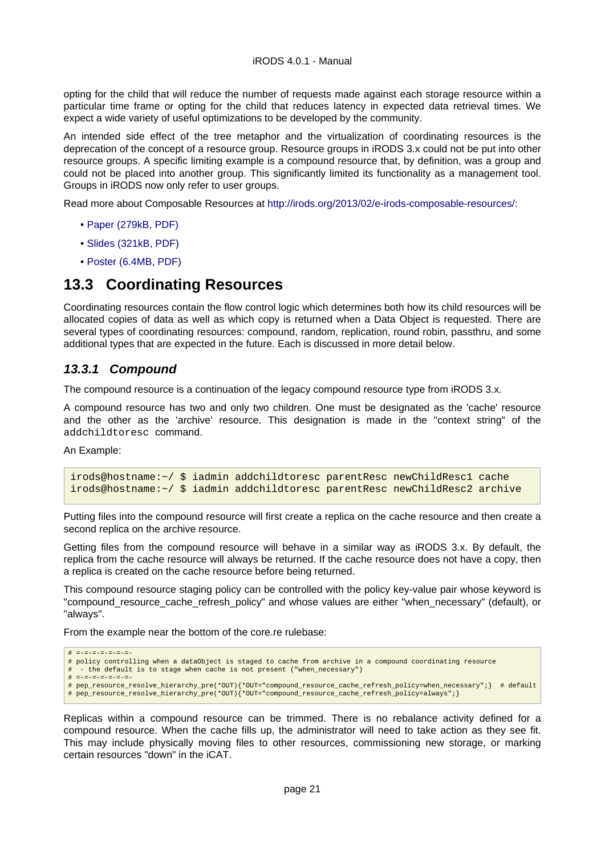opting for the child that will reduce the number of requests made against each storage resource within a particular time frame or opting for the child that reduces latency in expected data retrieval times. We expect a wide variety of useful optimizations to be developed by the community.

An intended side effect of the tree metaphor and the virtualization of coordinating resources is the deprecation of the concept of a resource group. Resource groups in iRODS 3.x could not be put into other resource groups. A specific limiting example is a compound resource that, by definition, was a group and could not be placed into another group. This significantly limited its functionality as a management tool. Groups in iRODS now only refer to user groups.

Read more about Composable Resources at [http://irods.org/2013/02/e-irods-composable-resources/:](http://irods.org/2013/02/e-irods-composable-resources/)

- [Paper \(279kB, PDF\)](http://irods.org/dev/wp-content/uploads/2013/02/eirods-composable-resources.pdf)
- [Slides \(321kB, PDF\)](http://irods.org/dev/wp-content/uploads/2013/02/eirods-cr-slides.pdf)
- [Poster \(6.4MB, PDF\)](http://irods.org/dev/wp-content/uploads/2013/02/eirods-composable-resources-poster.pdf)

## <span id="page-20-0"></span>**13.3 Coordinating Resources**

Coordinating resources contain the flow control logic which determines both how its child resources will be allocated copies of data as well as which copy is returned when a Data Object is requested. There are several types of coordinating resources: compound, random, replication, round robin, passthru, and some additional types that are expected in the future. Each is discussed in more detail below.

#### <span id="page-20-1"></span>**13.3.1 Compound**

The compound resource is a continuation of the legacy compound resource type from iRODS 3.x.

A compound resource has two and only two children. One must be designated as the 'cache' resource and the other as the 'archive' resource. This designation is made in the "context string" of the addchildtoresc command.

An Example:

```
irods@hostname:~/ $ iadmin addchildtoresc parentResc newChildResc1 cache
irods@hostname:~/ $ iadmin addchildtoresc parentResc newChildResc2 archive
```
Putting files into the compound resource will first create a replica on the cache resource and then create a second replica on the archive resource.

Getting files from the compound resource will behave in a similar way as iRODS 3.x. By default, the replica from the cache resource will always be returned. If the cache resource does not have a copy, then a replica is created on the cache resource before being returned.

This compound resource staging policy can be controlled with the policy key-value pair whose keyword is "compound\_resource\_cache\_refresh\_policy" and whose values are either "when\_necessary" (default), or "always".

From the example near the bottom of the core.re rulebase:

```
# =-=-=-=-=-=-=-
# policy controlling when a dataObject is staged to cache from archive in a compound coordinating resource
   - the default is to stage when cache is not present ("when necessary")
# =-=-=-=-=-=-=-<br># pep_resource_resolve_hierarchy_pre(*OUT){*OUT="compound_resource_cache_refresh_policy=when_necessary";} # default<br># pep_resource_resolve_hierarchy_pre(*OUT){*OUT="compound_resource_cache_refresh_policy=a
```
Replicas within a compound resource can be trimmed. There is no rebalance activity defined for a compound resource. When the cache fills up, the administrator will need to take action as they see fit. This may include physically moving files to other resources, commissioning new storage, or marking certain resources "down" in the iCAT.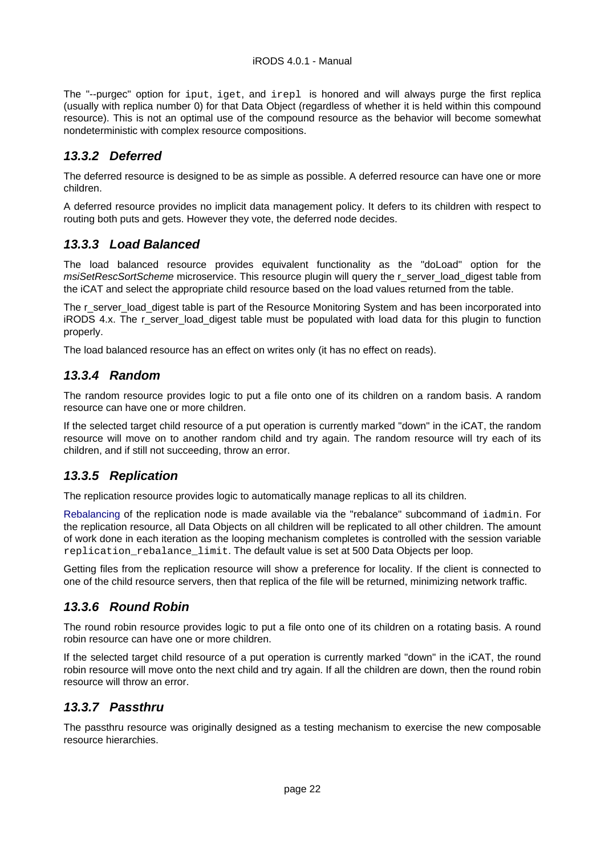The "--purgec" option for iput, iget, and irepl is honored and will always purge the first replica (usually with replica number 0) for that Data Object (regardless of whether it is held within this compound resource). This is not an optimal use of the compound resource as the behavior will become somewhat nondeterministic with complex resource compositions.

## <span id="page-21-0"></span>**13.3.2 Deferred**

The deferred resource is designed to be as simple as possible. A deferred resource can have one or more children.

A deferred resource provides no implicit data management policy. It defers to its children with respect to routing both puts and gets. However they vote, the deferred node decides.

## <span id="page-21-1"></span>**13.3.3 Load Balanced**

The load balanced resource provides equivalent functionality as the "doLoad" option for the msiSetRescSortScheme microservice. This resource plugin will query the r\_server\_load\_digest table from the iCAT and select the appropriate child resource based on the load values returned from the table.

The r\_server\_load\_digest table is part of the Resource Monitoring System and has been incorporated into iRODS 4.x. The r server load digest table must be populated with load data for this plugin to function properly.

The load balanced resource has an effect on writes only (it has no effect on reads).

## <span id="page-21-2"></span>**13.3.4 Random**

The random resource provides logic to put a file onto one of its children on a random basis. A random resource can have one or more children.

If the selected target child resource of a put operation is currently marked "down" in the iCAT, the random resource will move on to another random child and try again. The random resource will try each of its children, and if still not succeeding, throw an error.

## <span id="page-21-3"></span>**13.3.5 Replication**

The replication resource provides logic to automatically manage replicas to all its children.

[Rebalancing](#page-24-4) of the replication node is made available via the "rebalance" subcommand of iadmin. For the replication resource, all Data Objects on all children will be replicated to all other children. The amount of work done in each iteration as the looping mechanism completes is controlled with the session variable replication rebalance limit. The default value is set at 500 Data Objects per loop.

Getting files from the replication resource will show a preference for locality. If the client is connected to one of the child resource servers, then that replica of the file will be returned, minimizing network traffic.

## <span id="page-21-4"></span>**13.3.6 Round Robin**

The round robin resource provides logic to put a file onto one of its children on a rotating basis. A round robin resource can have one or more children.

If the selected target child resource of a put operation is currently marked "down" in the iCAT, the round robin resource will move onto the next child and try again. If all the children are down, then the round robin resource will throw an error.

## <span id="page-21-5"></span>**13.3.7 Passthru**

The passthru resource was originally designed as a testing mechanism to exercise the new composable resource hierarchies.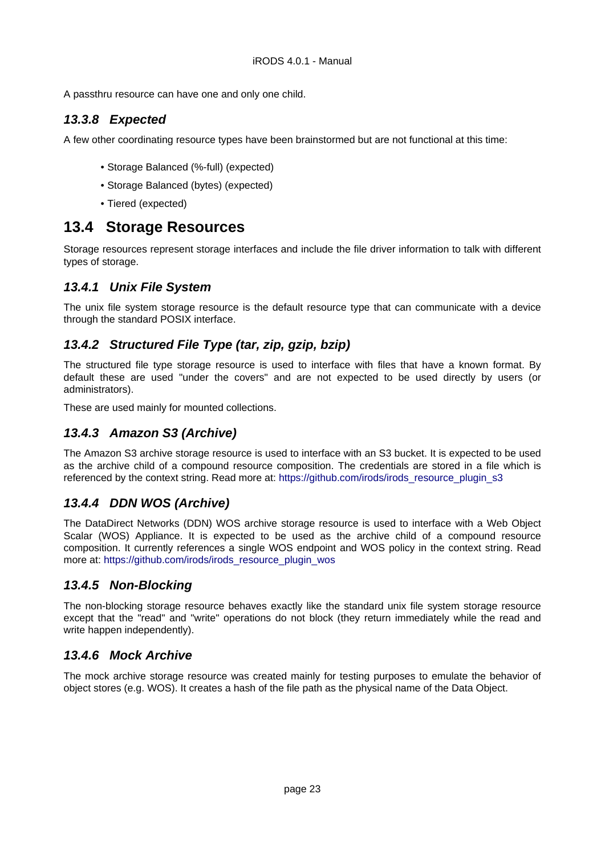A passthru resource can have one and only one child.

## <span id="page-22-0"></span>**13.3.8 Expected**

A few other coordinating resource types have been brainstormed but are not functional at this time:

- Storage Balanced (%-full) (expected)
- Storage Balanced (bytes) (expected)
- Tiered (expected)

## <span id="page-22-8"></span><span id="page-22-1"></span>**13.4 Storage Resources**

Storage resources represent storage interfaces and include the file driver information to talk with different types of storage.

## <span id="page-22-2"></span>**13.4.1 Unix File System**

The unix file system storage resource is the default resource type that can communicate with a device through the standard POSIX interface.

## <span id="page-22-3"></span>**13.4.2 Structured File Type (tar, zip, gzip, bzip)**

The structured file type storage resource is used to interface with files that have a known format. By default these are used "under the covers" and are not expected to be used directly by users (or administrators).

These are used mainly for mounted collections.

## <span id="page-22-4"></span>**13.4.3 Amazon S3 (Archive)**

The Amazon S3 archive storage resource is used to interface with an S3 bucket. It is expected to be used as the archive child of a compound resource composition. The credentials are stored in a file which is referenced by the context string. Read more at: [https://github.com/irods/irods\\_resource\\_plugin\\_s3](https://github.com/irods/irods_resource_plugin_s3)

## <span id="page-22-5"></span>**13.4.4 DDN WOS (Archive)**

The DataDirect Networks (DDN) WOS archive storage resource is used to interface with a Web Object Scalar (WOS) Appliance. It is expected to be used as the archive child of a compound resource composition. It currently references a single WOS endpoint and WOS policy in the context string. Read more at: [https://github.com/irods/irods\\_resource\\_plugin\\_wos](https://github.com/irods/irods_resource_plugin_wos)

#### <span id="page-22-6"></span>**13.4.5 Non-Blocking**

The non-blocking storage resource behaves exactly like the standard unix file system storage resource except that the "read" and "write" operations do not block (they return immediately while the read and write happen independently).

#### <span id="page-22-7"></span>**13.4.6 Mock Archive**

The mock archive storage resource was created mainly for testing purposes to emulate the behavior of object stores (e.g. WOS). It creates a hash of the file path as the physical name of the Data Object.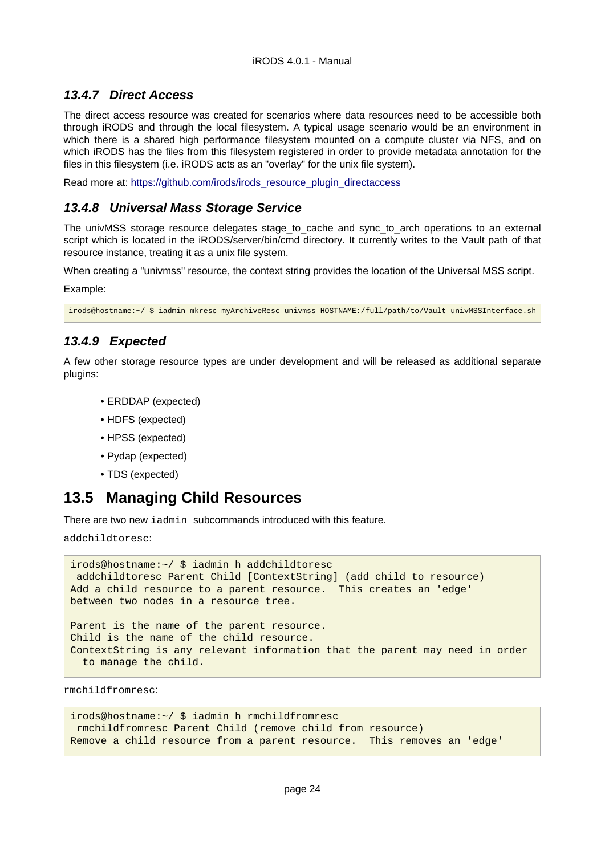## <span id="page-23-0"></span>**13.4.7 Direct Access**

The direct access resource was created for scenarios where data resources need to be accessible both through iRODS and through the local filesystem. A typical usage scenario would be an environment in which there is a shared high performance filesystem mounted on a compute cluster via NFS, and on which iRODS has the files from this filesystem registered in order to provide metadata annotation for the files in this filesystem (i.e. iRODS acts as an "overlay" for the unix file system).

Read more at: [https://github.com/irods/irods\\_resource\\_plugin\\_directaccess](https://github.com/irods/irods_resource_plugin_directaccess)

## <span id="page-23-1"></span>**13.4.8 Universal Mass Storage Service**

The univMSS storage resource delegates stage\_to\_cache and sync\_to\_arch operations to an external script which is located in the iRODS/server/bin/cmd directory. It currently writes to the Vault path of that resource instance, treating it as a unix file system.

When creating a "univmss" resource, the context string provides the location of the Universal MSS script.

Example:

irods@hostname:~/ \$ iadmin mkresc myArchiveResc univmss HOSTNAME:/full/path/to/Vault univMSSInterface.sh

## <span id="page-23-2"></span>**13.4.9 Expected**

A few other storage resource types are under development and will be released as additional separate plugins:

- ERDDAP (expected)
- HDFS (expected)
- HPSS (expected)
- Pydap (expected)
- TDS (expected)

## <span id="page-23-3"></span>**13.5 Managing Child Resources**

There are two new iadmin subcommands introduced with this feature.

addchildtoresc:

```
irods@hostname:~/ $ iadmin h addchildtoresc
  addchildtoresc Parent Child [ContextString] (add child to resource)
Add a child resource to a parent resource. This creates an 'edge'
between two nodes in a resource tree.
Parent is the name of the parent resource.
Child is the name of the child resource.
ContextString is any relevant information that the parent may need in order
   to manage the child.
```
rmchildfromresc:

```
irods@hostname:~/ $ iadmin h rmchildfromresc
 rmchildfromresc Parent Child (remove child from resource)
Remove a child resource from a parent resource. This removes an 'edge'
```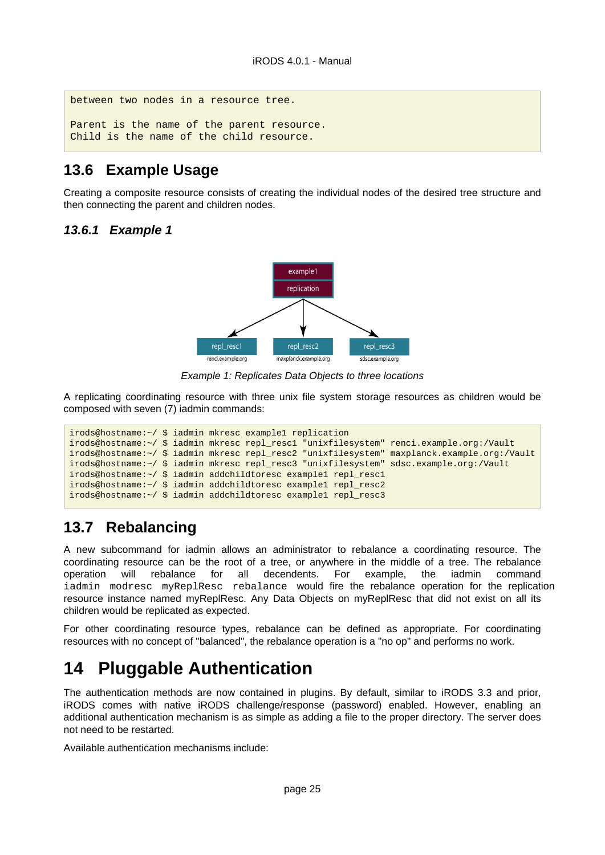between two nodes in a resource tree. Parent is the name of the parent resource. Child is the name of the child resource.

## <span id="page-24-0"></span>**13.6 Example Usage**

Creating a composite resource consists of creating the individual nodes of the desired tree structure and then connecting the parent and children nodes.

## <span id="page-24-1"></span>**13.6.1 Example 1**



Example 1: Replicates Data Objects to three locations

A replicating coordinating resource with three unix file system storage resources as children would be composed with seven (7) iadmin commands:

```
irods@hostname:~/ $ iadmin mkresc example1 replication
irods@hostname:~/ $ iadmin mkresc repl_resc1 "unixfilesystem" renci.example.org:/Vault
irods@hostname:~/ $ iadmin mkresc repl_resc2 "unixfilesystem" maxplanck.example.org:/Vault
irods@hostname:~/ $ iadmin mkresc repl_resc3 "unixfilesystem" sdsc.example.org:/Vault
irods@hostname:~/ $ iadmin addchildtoresc example1 repl_resc1
irods@hostname:~/ $ iadmin addchildtoresc example1 repl_resc2
irods@hostname:~/ $ iadmin addchildtoresc example1 repl_resc3
```
## <span id="page-24-4"></span><span id="page-24-2"></span>**13.7 Rebalancing**

A new subcommand for iadmin allows an administrator to rebalance a coordinating resource. The coordinating resource can be the root of a tree, or anywhere in the middle of a tree. The rebalance operation will rebalance for all decendents. For example, the iadmin command iadmin modresc myReplResc rebalance would fire the rebalance operation for the replication resource instance named myReplResc. Any Data Objects on myReplResc that did not exist on all its children would be replicated as expected.

For other coordinating resource types, rebalance can be defined as appropriate. For coordinating resources with no concept of "balanced", the rebalance operation is a "no op" and performs no work.

# <span id="page-24-3"></span>**14 Pluggable Authentication**

The authentication methods are now contained in plugins. By default, similar to iRODS 3.3 and prior, iRODS comes with native iRODS challenge/response (password) enabled. However, enabling an additional authentication mechanism is as simple as adding a file to the proper directory. The server does not need to be restarted.

Available authentication mechanisms include: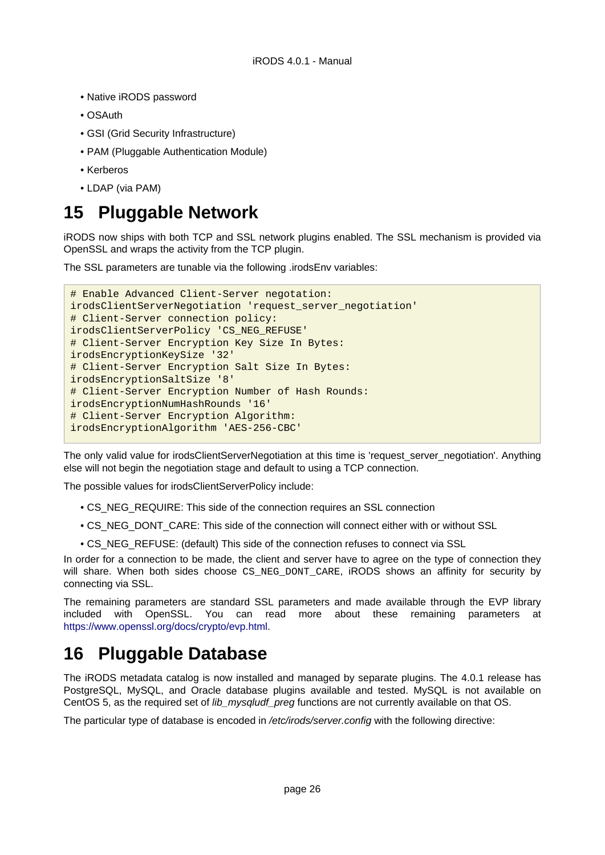- Native iRODS password
- OSAuth
- GSI (Grid Security Infrastructure)
- PAM (Pluggable Authentication Module)
- Kerberos
- LDAP (via PAM)

# <span id="page-25-0"></span>**15 Pluggable Network**

iRODS now ships with both TCP and SSL network plugins enabled. The SSL mechanism is provided via OpenSSL and wraps the activity from the TCP plugin.

The SSL parameters are tunable via the following .irodsEnv variables:

```
# Enable Advanced Client-Server negotation:
irodsClientServerNegotiation 'request_server_negotiation'
# Client-Server connection policy:
irodsClientServerPolicy 'CS_NEG_REFUSE'
# Client-Server Encryption Key Size In Bytes:
irodsEncryptionKeySize '32'
# Client-Server Encryption Salt Size In Bytes:
irodsEncryptionSaltSize '8'
# Client-Server Encryption Number of Hash Rounds:
irodsEncryptionNumHashRounds '16'
# Client-Server Encryption Algorithm:
irodsEncryptionAlgorithm 'AES-256-CBC'
```
The only valid value for irodsClientServerNegotiation at this time is 'request\_server\_negotiation'. Anything else will not begin the negotiation stage and default to using a TCP connection.

The possible values for irodsClientServerPolicy include:

- CS\_NEG\_REQUIRE: This side of the connection requires an SSL connection
- CS\_NEG\_DONT\_CARE: This side of the connection will connect either with or without SSL
- CS\_NEG\_REFUSE: (default) This side of the connection refuses to connect via SSL

In order for a connection to be made, the client and server have to agree on the type of connection they will share. When both sides choose CS\_NEG\_DONT\_CARE, iRODS shows an affinity for security by connecting via SSL.

The remaining parameters are standard SSL parameters and made available through the EVP library included with OpenSSL. You can read more about these remaining parameters at <https://www.openssl.org/docs/crypto/evp.html>.

# <span id="page-25-1"></span>**16 Pluggable Database**

The iRODS metadata catalog is now installed and managed by separate plugins. The 4.0.1 release has PostgreSQL, MySQL, and Oracle database plugins available and tested. MySQL is not available on CentOS 5, as the required set of *lib\_mysqludf\_preg* functions are not currently available on that OS.

The particular type of database is encoded in /etc/irods/server.config with the following directive: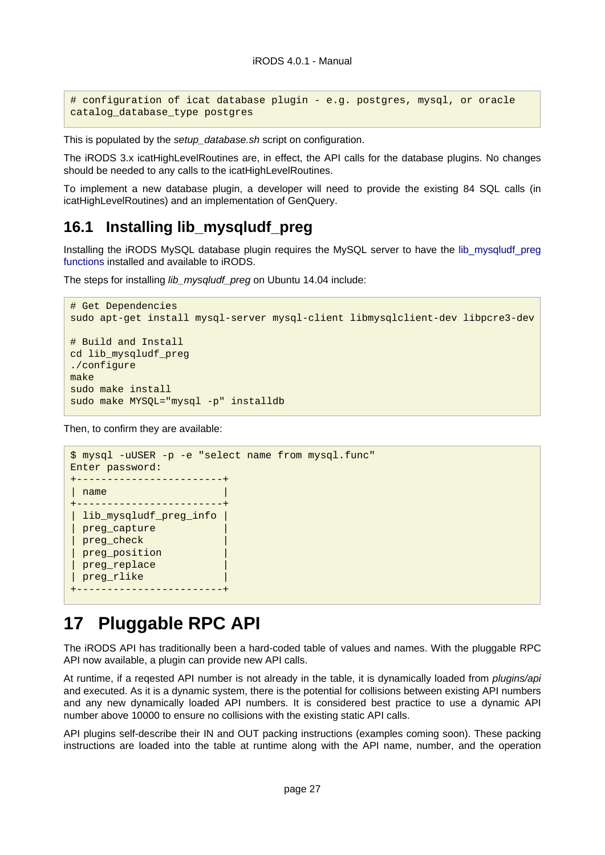```
# configuration of icat database plugin - e.g. postgres, mysql, or oracle
catalog_database_type postgres
```
This is populated by the setup database.sh script on configuration.

The iRODS 3.x icatHighLevelRoutines are, in effect, the API calls for the database plugins. No changes should be needed to any calls to the icatHighLevelRoutines.

To implement a new database plugin, a developer will need to provide the existing 84 SQL calls (in icatHighLevelRoutines) and an implementation of GenQuery.

## <span id="page-26-2"></span><span id="page-26-0"></span>**16.1 Installing lib\_mysqludf\_preg**

Installing the iRODS MySQL database plugin requires the MySQL server to have the [lib\\_mysqludf\\_preg](https://github.com/mysqludf/lib_mysqludf_preg) [functions](https://github.com/mysqludf/lib_mysqludf_preg) installed and available to iRODS.

The steps for installing *lib mysqludf preg* on Ubuntu 14.04 include:

```
# Get Dependencies
sudo apt-get install mysql-server mysql-client libmysqlclient-dev libpcre3-dev
# Build and Install
cd lib_mysqludf_preg
./configure
make
sudo make install
sudo make MYSQL="mysql -p" installdb
```
Then, to confirm they are available:

```
$ mysql -uUSER -p -e "select name from mysql.func"
Enter password:
+------------------------+
| name |
+------------------------+
 | lib_mysqludf_preg_info |
 preg_capture
 preg_check
 preg position
| preg_replace |
| preg_rlike |
  +------------------------+
```
## <span id="page-26-1"></span>**17 Pluggable RPC API**

The iRODS API has traditionally been a hard-coded table of values and names. With the pluggable RPC API now available, a plugin can provide new API calls.

At runtime, if a regested API number is not already in the table, it is dynamically loaded from *plugins/api* and executed. As it is a dynamic system, there is the potential for collisions between existing API numbers and any new dynamically loaded API numbers. It is considered best practice to use a dynamic API number above 10000 to ensure no collisions with the existing static API calls.

API plugins self-describe their IN and OUT packing instructions (examples coming soon). These packing instructions are loaded into the table at runtime along with the API name, number, and the operation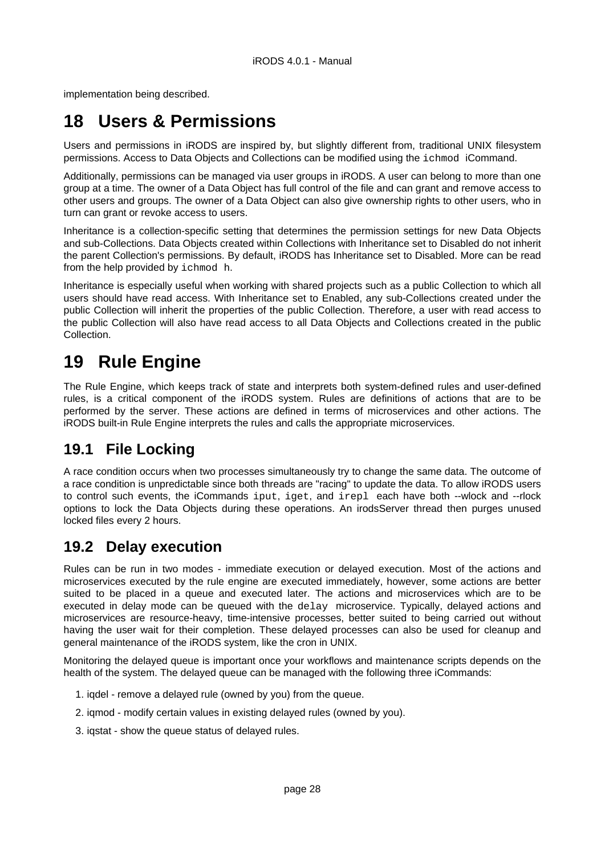implementation being described.

# <span id="page-27-0"></span>**18 Users & Permissions**

Users and permissions in iRODS are inspired by, but slightly different from, traditional UNIX filesystem permissions. Access to Data Objects and Collections can be modified using the ichmod iCommand.

Additionally, permissions can be managed via user groups in iRODS. A user can belong to more than one group at a time. The owner of a Data Object has full control of the file and can grant and remove access to other users and groups. The owner of a Data Object can also give ownership rights to other users, who in turn can grant or revoke access to users.

Inheritance is a collection-specific setting that determines the permission settings for new Data Objects and sub-Collections. Data Objects created within Collections with Inheritance set to Disabled do not inherit the parent Collection's permissions. By default, iRODS has Inheritance set to Disabled. More can be read from the help provided by ichmod h.

Inheritance is especially useful when working with shared projects such as a public Collection to which all users should have read access. With Inheritance set to Enabled, any sub-Collections created under the public Collection will inherit the properties of the public Collection. Therefore, a user with read access to the public Collection will also have read access to all Data Objects and Collections created in the public Collection.

# <span id="page-27-1"></span>**19 Rule Engine**

The Rule Engine, which keeps track of state and interprets both system-defined rules and user-defined rules, is a critical component of the iRODS system. Rules are definitions of actions that are to be performed by the server. These actions are defined in terms of microservices and other actions. The iRODS built-in Rule Engine interprets the rules and calls the appropriate microservices.

## <span id="page-27-2"></span>**19.1 File Locking**

A race condition occurs when two processes simultaneously try to change the same data. The outcome of a race condition is unpredictable since both threads are "racing" to update the data. To allow iRODS users to control such events, the iCommands iput, iget, and irepl each have both --wlock and --rlock options to lock the Data Objects during these operations. An irodsServer thread then purges unused locked files every 2 hours.

## <span id="page-27-3"></span>**19.2 Delay execution**

Rules can be run in two modes - immediate execution or delayed execution. Most of the actions and microservices executed by the rule engine are executed immediately, however, some actions are better suited to be placed in a queue and executed later. The actions and microservices which are to be executed in delay mode can be queued with the delay microservice. Typically, delayed actions and microservices are resource-heavy, time-intensive processes, better suited to being carried out without having the user wait for their completion. These delayed processes can also be used for cleanup and general maintenance of the iRODS system, like the cron in UNIX.

Monitoring the delayed queue is important once your workflows and maintenance scripts depends on the health of the system. The delayed queue can be managed with the following three iCommands:

- 1. iqdel remove a delayed rule (owned by you) from the queue.
- 2. igmod modify certain values in existing delayed rules (owned by you).
- 3. iqstat show the queue status of delayed rules.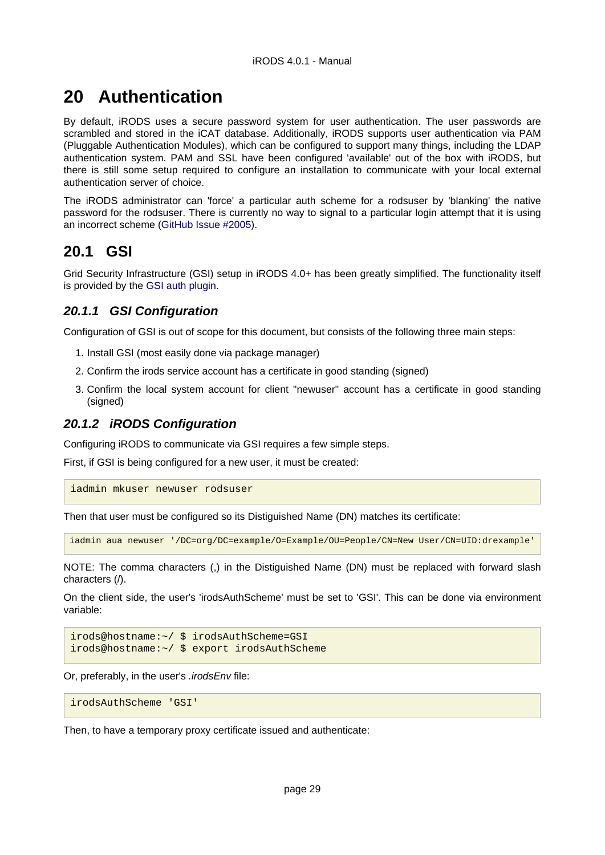# <span id="page-28-0"></span>**20 Authentication**

By default, iRODS uses a secure password system for user authentication. The user passwords are scrambled and stored in the iCAT database. Additionally, iRODS supports user authentication via PAM (Pluggable Authentication Modules), which can be configured to support many things, including the LDAP authentication system. PAM and SSL have been configured 'available' out of the box with iRODS, but there is still some setup required to configure an installation to communicate with your local external authentication server of choice.

The iRODS administrator can 'force' a particular auth scheme for a rodsuser by 'blanking' the native password for the rodsuser. There is currently no way to signal to a particular login attempt that it is using an incorrect scheme ([GitHub Issue #2005](https://github.com/irods/irods/issues/2005)).

## <span id="page-28-1"></span>**20.1 GSI**

Grid Security Infrastructure (GSI) setup in iRODS 4.0+ has been greatly simplified. The functionality itself is provided by the [GSI auth plugin.](https://github.com/irods/irods_auth_plugin_gsi)

## <span id="page-28-2"></span>**20.1.1 GSI Configuration**

Configuration of GSI is out of scope for this document, but consists of the following three main steps:

- 1. Install GSI (most easily done via package manager)
- 2. Confirm the irods service account has a certificate in good standing (signed)
- 3. Confirm the local system account for client "newuser" account has a certificate in good standing (signed)

#### <span id="page-28-3"></span>**20.1.2 iRODS Configuration**

Configuring iRODS to communicate via GSI requires a few simple steps.

First, if GSI is being configured for a new user, it must be created:

iadmin mkuser newuser rodsuser

Then that user must be configured so its Distiguished Name (DN) matches its certificate:

iadmin aua newuser '/DC=org/DC=example/O=Example/OU=People/CN=New User/CN=UID:drexample'

NOTE: The comma characters (,) in the Distiguished Name (DN) must be replaced with forward slash characters (/).

On the client side, the user's 'irodsAuthScheme' must be set to 'GSI'. This can be done via environment variable:

```
irods@hostname:~/ $ irodsAuthScheme=GSI
irods@hostname:~/ $ export irodsAuthScheme
```
Or, preferably, in the user's .irodsEnv file:

```
irodsAuthScheme 'GSI'
```
Then, to have a temporary proxy certificate issued and authenticate: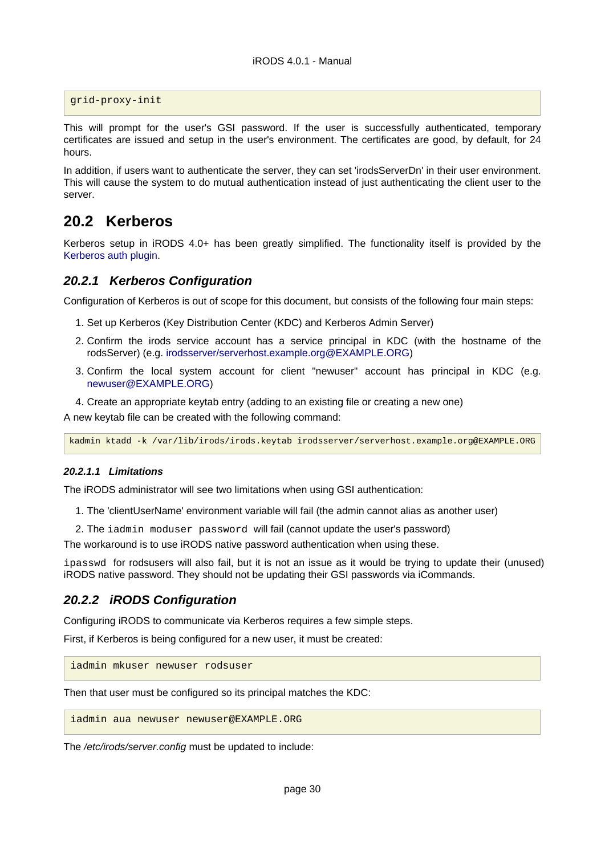grid-proxy-init

This will prompt for the user's GSI password. If the user is successfully authenticated, temporary certificates are issued and setup in the user's environment. The certificates are good, by default, for 24 hours.

In addition, if users want to authenticate the server, they can set 'irodsServerDn' in their user environment. This will cause the system to do mutual authentication instead of just authenticating the client user to the server.

## <span id="page-29-0"></span>**20.2 Kerberos**

Kerberos setup in iRODS 4.0+ has been greatly simplified. The functionality itself is provided by the [Kerberos auth plugin.](https://github.com/irods/irods_auth_plugin_kerberos)

#### <span id="page-29-1"></span>**20.2.1 Kerberos Configuration**

Configuration of Kerberos is out of scope for this document, but consists of the following four main steps:

- 1. Set up Kerberos (Key Distribution Center (KDC) and Kerberos Admin Server)
- 2. Confirm the irods service account has a service principal in KDC (with the hostname of the rodsServer) (e.g. [irodsserver/serverhost.example.org@EXAMPLE.ORG](mailto:irodsserver/serverhost.example.org@EXAMPLE.ORG))
- 3. Confirm the local system account for client "newuser" account has principal in KDC (e.g. [newuser@EXAMPLE.ORG](mailto:newuser@EXAMPLE.ORG))
- 4. Create an appropriate keytab entry (adding to an existing file or creating a new one)

A new keytab file can be created with the following command:

kadmin ktadd -k /var/lib/irods/irods.keytab irodsserver/serverhost.example.org@EXAMPLE.ORG

#### <span id="page-29-2"></span>**20.2.1.1 Limitations**

The iRODS administrator will see two limitations when using GSI authentication:

- 1. The 'clientUserName' environment variable will fail (the admin cannot alias as another user)
- 2. The iadmin moduser password will fail (cannot update the user's password)

The workaround is to use iRODS native password authentication when using these.

ipasswd for rodsusers will also fail, but it is not an issue as it would be trying to update their (unused) iRODS native password. They should not be updating their GSI passwords via iCommands.

#### <span id="page-29-3"></span>**20.2.2 iRODS Configuration**

Configuring iRODS to communicate via Kerberos requires a few simple steps.

First, if Kerberos is being configured for a new user, it must be created:

iadmin mkuser newuser rodsuser

Then that user must be configured so its principal matches the KDC:

iadmin aua newuser newuser@EXAMPLE.ORG

The /etc/irods/server.config must be updated to include: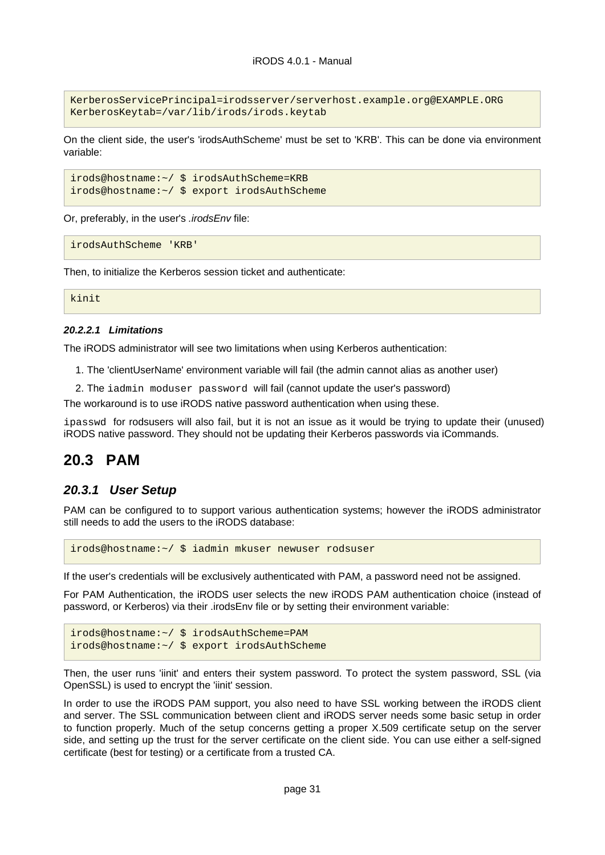KerberosServicePrincipal=irodsserver/serverhost.example.org@EXAMPLE.ORG KerberosKeytab=/var/lib/irods/irods.keytab

On the client side, the user's 'irodsAuthScheme' must be set to 'KRB'. This can be done via environment variable:

```
irods@hostname:~/ $ irodsAuthScheme=KRB
irods@hostname:~/ $ export irodsAuthScheme
```
Or, preferably, in the user's .irodsEnv file:

irodsAuthScheme 'KRB'

Then, to initialize the Kerberos session ticket and authenticate:

kinit

#### <span id="page-30-0"></span>**20.2.2.1 Limitations**

The iRODS administrator will see two limitations when using Kerberos authentication:

1. The 'clientUserName' environment variable will fail (the admin cannot alias as another user)

2. The iadmin moduser password will fail (cannot update the user's password)

The workaround is to use iRODS native password authentication when using these.

ipasswd for rodsusers will also fail, but it is not an issue as it would be trying to update their (unused) iRODS native password. They should not be updating their Kerberos passwords via iCommands.

## <span id="page-30-1"></span>**20.3 PAM**

#### <span id="page-30-2"></span>**20.3.1 User Setup**

PAM can be configured to to support various authentication systems; however the iRODS administrator still needs to add the users to the iRODS database:

irods@hostname:~/ \$ iadmin mkuser newuser rodsuser

If the user's credentials will be exclusively authenticated with PAM, a password need not be assigned.

For PAM Authentication, the iRODS user selects the new iRODS PAM authentication choice (instead of password, or Kerberos) via their .irodsEnv file or by setting their environment variable:

```
irods@hostname:~/ $ irodsAuthScheme=PAM
irods@hostname:~/ $ export irodsAuthScheme
```
Then, the user runs 'iinit' and enters their system password. To protect the system password, SSL (via OpenSSL) is used to encrypt the 'iinit' session.

In order to use the iRODS PAM support, you also need to have SSL working between the iRODS client and server. The SSL communication between client and iRODS server needs some basic setup in order to function properly. Much of the setup concerns getting a proper X.509 certificate setup on the server side, and setting up the trust for the server certificate on the client side. You can use either a self-signed certificate (best for testing) or a certificate from a trusted CA.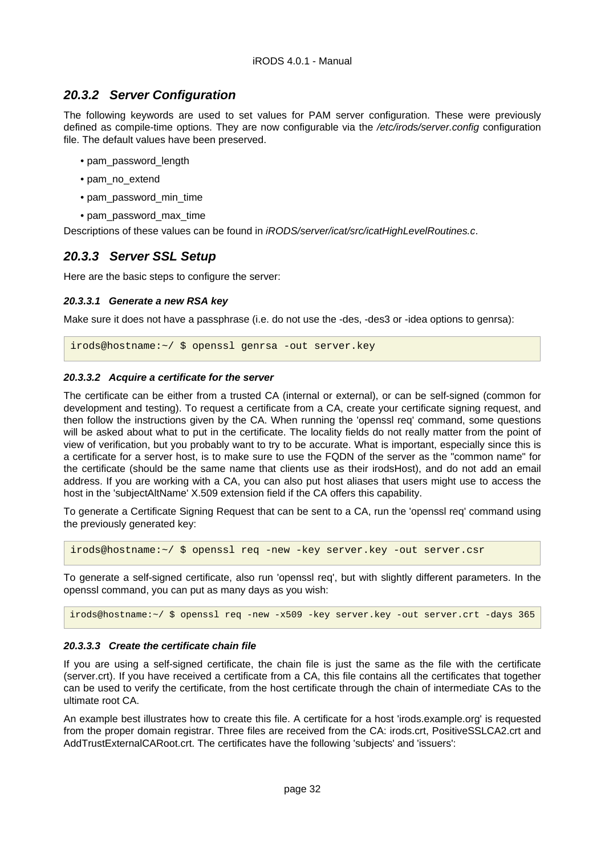## <span id="page-31-0"></span>**20.3.2 Server Configuration**

The following keywords are used to set values for PAM server configuration. These were previously defined as compile-time options. They are now configurable via the /etc/irods/server.config configuration file. The default values have been preserved.

- pam\_password\_length
- pam\_no\_extend
- pam\_password\_min\_time
- pam\_password\_max\_time

Descriptions of these values can be found in iRODS/server/icat/src/icatHighLevelRoutines.c.

## <span id="page-31-1"></span>**20.3.3 Server SSL Setup**

Here are the basic steps to configure the server:

#### <span id="page-31-2"></span>**20.3.3.1 Generate a new RSA key**

Make sure it does not have a passphrase (i.e. do not use the -des, -des3 or -idea options to genrsa):

irods@hostname:~/ \$ openssl genrsa -out server.key

#### <span id="page-31-3"></span>**20.3.3.2 Acquire a certificate for the server**

The certificate can be either from a trusted CA (internal or external), or can be self-signed (common for development and testing). To request a certificate from a CA, create your certificate signing request, and then follow the instructions given by the CA. When running the 'openssl req' command, some questions will be asked about what to put in the certificate. The locality fields do not really matter from the point of view of verification, but you probably want to try to be accurate. What is important, especially since this is a certificate for a server host, is to make sure to use the FQDN of the server as the "common name" for the certificate (should be the same name that clients use as their irodsHost), and do not add an email address. If you are working with a CA, you can also put host aliases that users might use to access the host in the 'subjectAltName' X.509 extension field if the CA offers this capability.

To generate a Certificate Signing Request that can be sent to a CA, run the 'openssl req' command using the previously generated key:

irods@hostname:~/ \$ openssl req -new -key server.key -out server.csr

To generate a self-signed certificate, also run 'openssl req', but with slightly different parameters. In the openssl command, you can put as many days as you wish:

irods@hostname:~/ \$ openssl req -new -x509 -key server.key -out server.crt -days 365

#### <span id="page-31-4"></span>**20.3.3.3 Create the certificate chain file**

If you are using a self-signed certificate, the chain file is just the same as the file with the certificate (server.crt). If you have received a certificate from a CA, this file contains all the certificates that together can be used to verify the certificate, from the host certificate through the chain of intermediate CAs to the ultimate root CA.

An example best illustrates how to create this file. A certificate for a host 'irods.example.org' is requested from the proper domain registrar. Three files are received from the CA: irods.crt, PositiveSSLCA2.crt and AddTrustExternalCARoot.crt. The certificates have the following 'subjects' and 'issuers':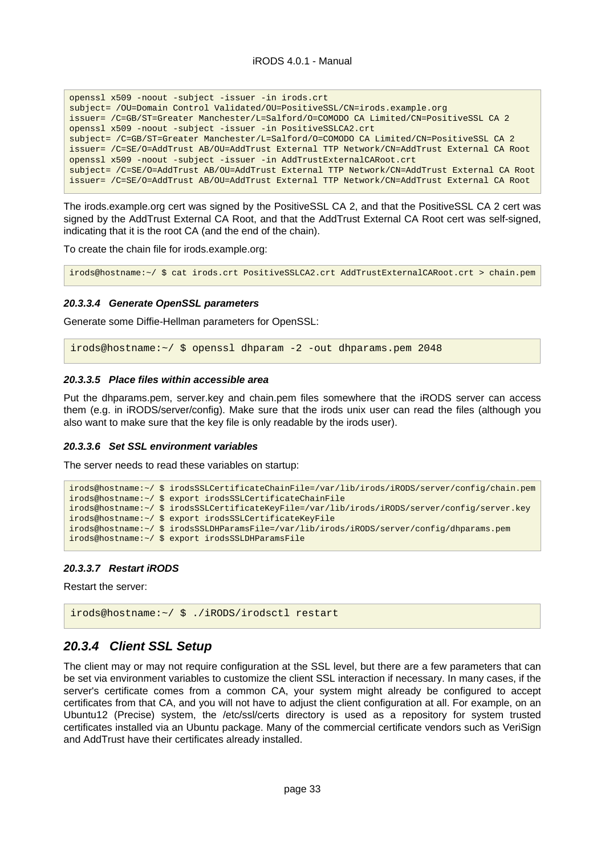openssl x509 -noout -subject -issuer -in irods.crt subject= /OU=Domain Control Validated/OU=PositiveSSL/CN=irods.example.org issuer= /C=GB/ST=Greater Manchester/L=Salford/O=COMODO CA Limited/CN=PositiveSSL CA 2 openssl x509 -noout -subject -issuer -in PositiveSSLCA2.crt subject= /C=GB/ST=Greater Manchester/L=Salford/O=COMODO CA Limited/CN=PositiveSSL CA 2 issuer= /C=SE/O=AddTrust AB/OU=AddTrust External TTP Network/CN=AddTrust External CA Root openssl x509 -noout -subject -issuer -in AddTrustExternalCARoot.crt subject= /C=SE/O=AddTrust AB/OU=AddTrust External TTP Network/CN=AddTrust External CA Root issuer= /C=SE/O=AddTrust AB/OU=AddTrust External TTP Network/CN=AddTrust External CA Root

The irods.example.org cert was signed by the PositiveSSL CA 2, and that the PositiveSSL CA 2 cert was signed by the AddTrust External CA Root, and that the AddTrust External CA Root cert was self-signed, indicating that it is the root CA (and the end of the chain).

To create the chain file for irods.example.org:

irods@hostname:~/ \$ cat irods.crt PositiveSSLCA2.crt AddTrustExternalCARoot.crt > chain.pem

#### <span id="page-32-0"></span>**20.3.3.4 Generate OpenSSL parameters**

Generate some Diffie-Hellman parameters for OpenSSL:

irods@hostname:~/ \$ openssl dhparam -2 -out dhparams.pem 2048

#### <span id="page-32-1"></span>**20.3.3.5 Place files within accessible area**

Put the dhparams.pem, server.key and chain.pem files somewhere that the iRODS server can access them (e.g. in iRODS/server/config). Make sure that the irods unix user can read the files (although you also want to make sure that the key file is only readable by the irods user).

#### <span id="page-32-2"></span>**20.3.3.6 Set SSL environment variables**

The server needs to read these variables on startup:

```
irods@hostname:~/ $ irodsSSLCertificateChainFile=/var/lib/irods/iRODS/server/config/chain.pem
irods@hostname:~/ $ export irodsSSLCertificateChainFile
irods@hostname:~/ $ irodsSSLCertificateKeyFile=/var/lib/irods/iRODS/server/config/server.key
irods@hostname:~/ $ export irodsSSLCertificateKeyFile
irods@hostname:~/ $ irodsSSLDHParamsFile=/var/lib/irods/iRODS/server/config/dhparams.pem
irods@hostname:~/ $ export irodsSSLDHParamsFile
```
#### <span id="page-32-3"></span>**20.3.3.7 Restart iRODS**

Restart the server:

```
irods@hostname:~/ $ ./iRODS/irodsctl restart
```
#### <span id="page-32-4"></span>**20.3.4 Client SSL Setup**

The client may or may not require configuration at the SSL level, but there are a few parameters that can be set via environment variables to customize the client SSL interaction if necessary. In many cases, if the server's certificate comes from a common CA, your system might already be configured to accept certificates from that CA, and you will not have to adjust the client configuration at all. For example, on an Ubuntu12 (Precise) system, the /etc/ssl/certs directory is used as a repository for system trusted certificates installed via an Ubuntu package. Many of the commercial certificate vendors such as VeriSign and AddTrust have their certificates already installed.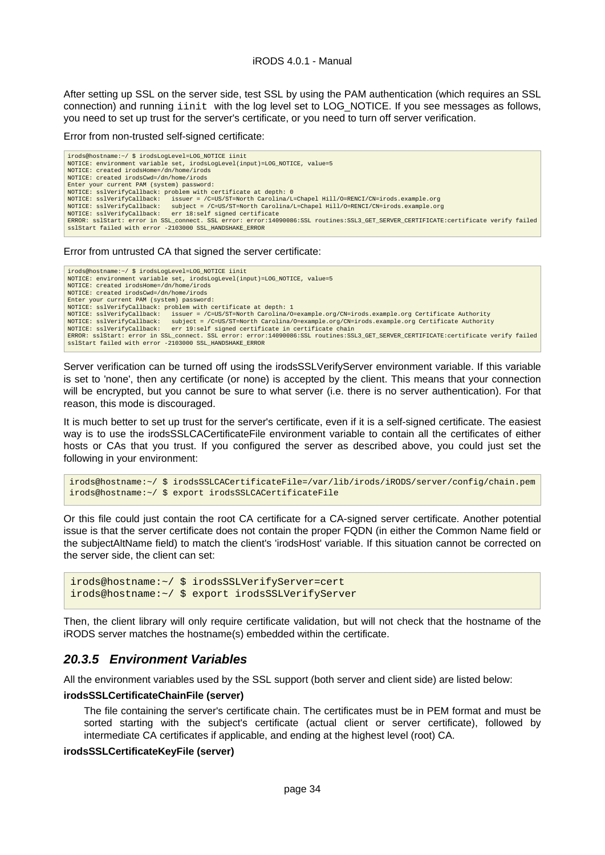After setting up SSL on the server side, test SSL by using the PAM authentication (which requires an SSL connection) and running iinit with the log level set to LOG\_NOTICE. If you see messages as follows, you need to set up trust for the server's certificate, or you need to turn off server verification.

#### Error from non-trusted self-signed certificate:

```
irods@hostname:~/ $ irodsLogLevel=LOG_NOTICE iinit
NOTICE: environment variable set, irodsLogLevel(input)=LOG_NOTICE, value=5
NOTICE: created irodsHome=/dn/home/irods
NOTICE: created irodsCwd=/dn/home/irods
Enter your current PAM (system) password:
NOTICE: sslVerifyCallback: problem with certificate at depth: 0
NOTICE: sslVerifyCallback:   issuer = /C=US/ST=North Carolina/L=Chapel Hill/O=RENCI/CN=irods.example.org<br>NOTICE: sslVerifyCallback:   subject = /C=US/ST=North Carolina/L=Chapel Hill/O=RENCI/CN=irods.example.org<br>NOTICE: ssl
sslStart failed with error -2103000 SSL_HANDSHAKE_ERROR
```
Error from untrusted CA that signed the server certificate:

irods@hostname:~/ \$ irodsLogLevel=LOG\_NOTICE iinit NOTICE: environment variable set, irodsLogLevel(input)=LOG\_NOTICE, value=5 NOTICE: created irodsHome=/dn/home/irods NOTICE: created irodsCwd=/dn/home/irods Enter your current PAM (system) password: NOTICE: sslVerifyCallback: problem with certificate at depth: 1<br>NOTICE: sslVerifyCallback: issuer = /C=US/ST=North Carolina/O=example.org/CN=irods.example.org Certificate Authority<br>NOTICE: sslVerifyCallback: subject = ERROR: sslStart: error in SSL\_connect. SSL error: error:14090086:SSL routines:SSL3\_GET\_SERVER\_CERTIFICATE:certificate verify failed<br>sslStart failed with error -2103000 SSL\_HANDSHAKE\_ERROR

Server verification can be turned off using the irodsSSLVerifyServer environment variable. If this variable is set to 'none', then any certificate (or none) is accepted by the client. This means that your connection will be encrypted, but you cannot be sure to what server (i.e. there is no server authentication). For that reason, this mode is discouraged.

It is much better to set up trust for the server's certificate, even if it is a self-signed certificate. The easiest way is to use the irodsSSLCACertificateFile environment variable to contain all the certificates of either hosts or CAs that you trust. If you configured the server as described above, you could just set the following in your environment:

```
irods@hostname:~/ $ irodsSSLCACertificateFile=/var/lib/irods/iRODS/server/config/chain.pem
irods@hostname:~/ $ export irodsSSLCACertificateFile
```
Or this file could just contain the root CA certificate for a CA-signed server certificate. Another potential issue is that the server certificate does not contain the proper FQDN (in either the Common Name field or the subjectAltName field) to match the client's 'irodsHost' variable. If this situation cannot be corrected on the server side, the client can set:

```
irods@hostname:~/ $ irodsSSLVerifyServer=cert
irods@hostname:~/ $ export irodsSSLVerifyServer
```
Then, the client library will only require certificate validation, but will not check that the hostname of the iRODS server matches the hostname(s) embedded within the certificate.

#### <span id="page-33-0"></span>**20.3.5 Environment Variables**

All the environment variables used by the SSL support (both server and client side) are listed below:

#### **irodsSSLCertificateChainFile (server)**

The file containing the server's certificate chain. The certificates must be in PEM format and must be sorted starting with the subject's certificate (actual client or server certificate), followed by intermediate CA certificates if applicable, and ending at the highest level (root) CA.

#### **irodsSSLCertificateKeyFile (server)**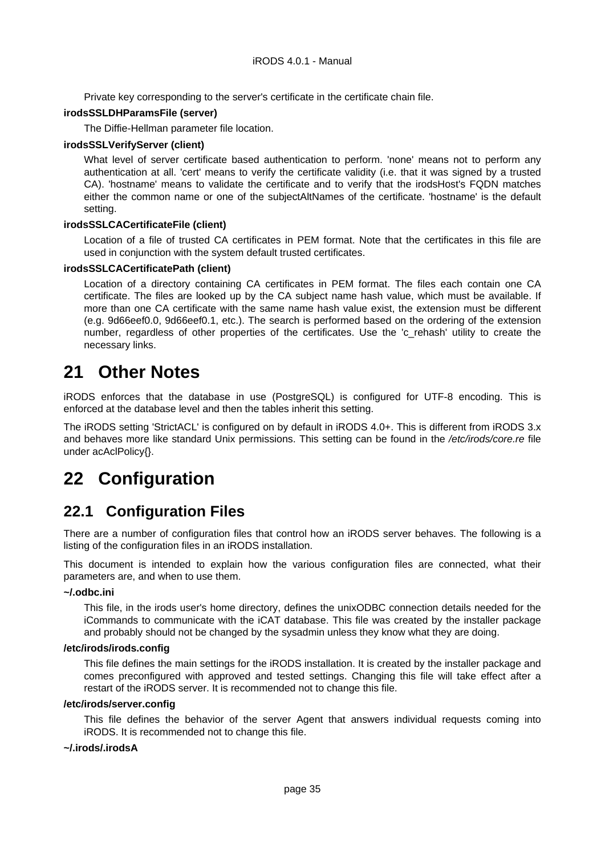Private key corresponding to the server's certificate in the certificate chain file.

#### **irodsSSLDHParamsFile (server)**

The Diffie-Hellman parameter file location.

#### **irodsSSLVerifyServer (client)**

What level of server certificate based authentication to perform. 'none' means not to perform any authentication at all. 'cert' means to verify the certificate validity (i.e. that it was signed by a trusted CA). 'hostname' means to validate the certificate and to verify that the irodsHost's FQDN matches either the common name or one of the subjectAltNames of the certificate. 'hostname' is the default setting.

#### **irodsSSLCACertificateFile (client)**

Location of a file of trusted CA certificates in PEM format. Note that the certificates in this file are used in conjunction with the system default trusted certificates.

#### **irodsSSLCACertificatePath (client)**

Location of a directory containing CA certificates in PEM format. The files each contain one CA certificate. The files are looked up by the CA subject name hash value, which must be available. If more than one CA certificate with the same name hash value exist, the extension must be different (e.g. 9d66eef0.0, 9d66eef0.1, etc.). The search is performed based on the ordering of the extension number, regardless of other properties of the certificates. Use the 'c rehash' utility to create the necessary links.

# <span id="page-34-0"></span>**21 Other Notes**

iRODS enforces that the database in use (PostgreSQL) is configured for UTF-8 encoding. This is enforced at the database level and then the tables inherit this setting.

The iRODS setting 'StrictACL' is configured on by default in iRODS 4.0+. This is different from iRODS 3.x and behaves more like standard Unix permissions. This setting can be found in the /etc/irods/core.re file under acAclPolicy{}.

# <span id="page-34-1"></span>**22 Configuration**

## <span id="page-34-2"></span>**22.1 Configuration Files**

There are a number of configuration files that control how an iRODS server behaves. The following is a listing of the configuration files in an iRODS installation.

This document is intended to explain how the various configuration files are connected, what their parameters are, and when to use them.

#### **~/.odbc.ini**

This file, in the irods user's home directory, defines the unixODBC connection details needed for the iCommands to communicate with the iCAT database. This file was created by the installer package and probably should not be changed by the sysadmin unless they know what they are doing.

#### **/etc/irods/irods.config**

This file defines the main settings for the iRODS installation. It is created by the installer package and comes preconfigured with approved and tested settings. Changing this file will take effect after a restart of the iRODS server. It is recommended not to change this file.

#### **/etc/irods/server.config**

This file defines the behavior of the server Agent that answers individual requests coming into iRODS. It is recommended not to change this file.

#### **~/.irods/.irodsA**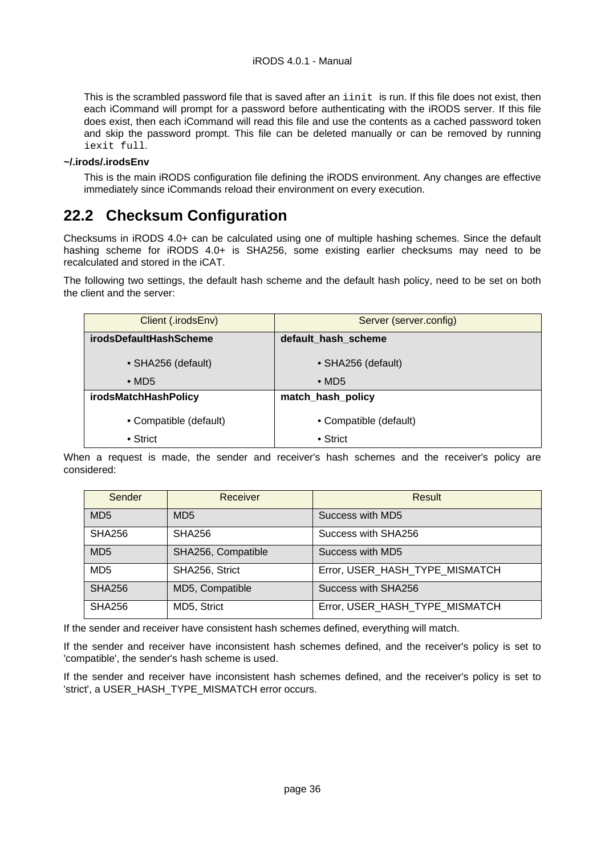This is the scrambled password file that is saved after an iinit is run. If this file does not exist, then each iCommand will prompt for a password before authenticating with the iRODS server. If this file does exist, then each iCommand will read this file and use the contents as a cached password token and skip the password prompt. This file can be deleted manually or can be removed by running iexit full.

#### **~/.irods/.irodsEnv**

This is the main iRODS configuration file defining the iRODS environment. Any changes are effective immediately since iCommands reload their environment on every execution.

## <span id="page-35-0"></span>**22.2 Checksum Configuration**

Checksums in iRODS 4.0+ can be calculated using one of multiple hashing schemes. Since the default hashing scheme for iRODS 4.0+ is SHA256, some existing earlier checksums may need to be recalculated and stored in the iCAT.

The following two settings, the default hash scheme and the default hash policy, need to be set on both the client and the server:

| Client (.irodsEnv)            | Server (server.config) |
|-------------------------------|------------------------|
| <b>irodsDefaultHashScheme</b> | default_hash_scheme    |
| • SHA256 (default)            | • SHA256 (default)     |
| $\bullet$ MD5                 | $\bullet$ MD5          |
| <i>irodsMatchHashPolicy</i>   | match_hash_policy      |
| • Compatible (default)        | • Compatible (default) |
| $\bullet$ Strict              | $\bullet$ Strict       |

When a request is made, the sender and receiver's hash schemes and the receiver's policy are considered:

| Sender          | Receiver           | Result                         |
|-----------------|--------------------|--------------------------------|
| MD <sub>5</sub> | MD <sub>5</sub>    | Success with MD5               |
| <b>SHA256</b>   | <b>SHA256</b>      | Success with SHA256            |
| MD <sub>5</sub> | SHA256, Compatible | Success with MD5               |
| MD <sub>5</sub> | SHA256, Strict     | Error, USER HASH TYPE MISMATCH |
| <b>SHA256</b>   | MD5, Compatible    | Success with SHA256            |
| <b>SHA256</b>   | MD5, Strict        | Error, USER HASH TYPE MISMATCH |

If the sender and receiver have consistent hash schemes defined, everything will match.

If the sender and receiver have inconsistent hash schemes defined, and the receiver's policy is set to 'compatible', the sender's hash scheme is used.

If the sender and receiver have inconsistent hash schemes defined, and the receiver's policy is set to 'strict', a USER\_HASH\_TYPE\_MISMATCH error occurs.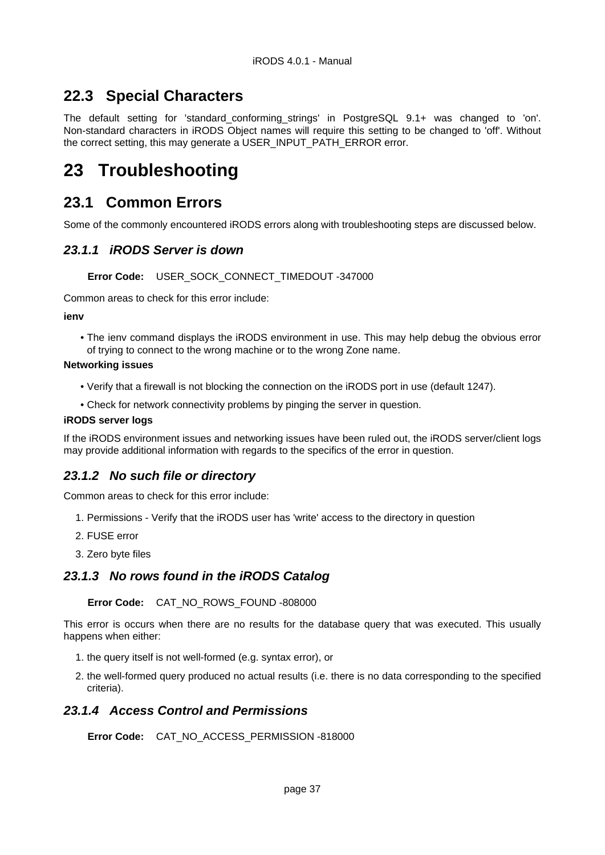## <span id="page-36-0"></span>**22.3 Special Characters**

The default setting for 'standard conforming strings' in PostgreSQL 9.1+ was changed to 'on'. Non-standard characters in iRODS Object names will require this setting to be changed to 'off'. Without the correct setting, this may generate a USER\_INPUT\_PATH\_ERROR error.

# <span id="page-36-1"></span>**23 Troubleshooting**

## <span id="page-36-2"></span>**23.1 Common Errors**

Some of the commonly encountered iRODS errors along with troubleshooting steps are discussed below.

#### <span id="page-36-3"></span>**23.1.1 iRODS Server is down**

#### **Error Code:** USER\_SOCK\_CONNECT\_TIMEDOUT -347000

Common areas to check for this error include:

**ienv**

• The ienv command displays the iRODS environment in use. This may help debug the obvious error of trying to connect to the wrong machine or to the wrong Zone name.

#### **Networking issues**

- Verify that a firewall is not blocking the connection on the iRODS port in use (default 1247).
- Check for network connectivity problems by pinging the server in question.

#### **iRODS server logs**

If the iRODS environment issues and networking issues have been ruled out, the iRODS server/client logs may provide additional information with regards to the specifics of the error in question.

#### <span id="page-36-4"></span>**23.1.2 No such file or directory**

Common areas to check for this error include:

- 1. Permissions Verify that the iRODS user has 'write' access to the directory in question
- 2. FUSE error
- 3. Zero byte files

#### <span id="page-36-5"></span>**23.1.3 No rows found in the iRODS Catalog**

#### **Error Code:** CAT\_NO\_ROWS\_FOUND -808000

This error is occurs when there are no results for the database query that was executed. This usually happens when either:

- 1. the query itself is not well-formed (e.g. syntax error), or
- 2. the well-formed query produced no actual results (i.e. there is no data corresponding to the specified criteria).

#### <span id="page-36-6"></span>**23.1.4 Access Control and Permissions**

**Error Code:** CAT\_NO\_ACCESS\_PERMISSION -818000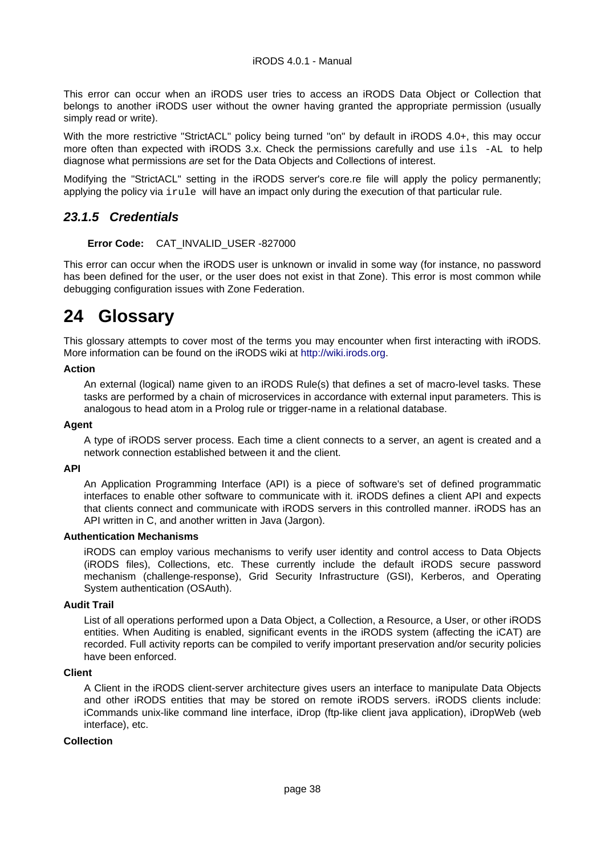This error can occur when an iRODS user tries to access an iRODS Data Object or Collection that belongs to another iRODS user without the owner having granted the appropriate permission (usually simply read or write).

With the more restrictive "StrictACL" policy being turned "on" by default in iRODS 4.0+, this may occur more often than expected with iRODS 3.x. Check the permissions carefully and use ils -AL to help diagnose what permissions are set for the Data Objects and Collections of interest.

Modifying the "StrictACL" setting in the iRODS server's core.re file will apply the policy permanently; applying the policy via irule will have an impact only during the execution of that particular rule.

## <span id="page-37-0"></span>**23.1.5 Credentials**

#### **Error Code:** CAT\_INVALID\_USER -827000

This error can occur when the iRODS user is unknown or invalid in some way (for instance, no password has been defined for the user, or the user does not exist in that Zone). This error is most common while debugging configuration issues with Zone Federation.

# <span id="page-37-1"></span>**24 Glossary**

This glossary attempts to cover most of the terms you may encounter when first interacting with iRODS. More information can be found on the iRODS wiki at<http://wiki.irods.org>.

#### **Action**

An external (logical) name given to an iRODS Rule(s) that defines a set of macro-level tasks. These tasks are performed by a chain of microservices in accordance with external input parameters. This is analogous to head atom in a Prolog rule or trigger-name in a relational database.

#### **Agent**

A type of iRODS server process. Each time a client connects to a server, an agent is created and a network connection established between it and the client.

#### **API**

An Application Programming Interface (API) is a piece of software's set of defined programmatic interfaces to enable other software to communicate with it. iRODS defines a client API and expects that clients connect and communicate with iRODS servers in this controlled manner. iRODS has an API written in C, and another written in Java (Jargon).

#### **Authentication Mechanisms**

iRODS can employ various mechanisms to verify user identity and control access to Data Objects (iRODS files), Collections, etc. These currently include the default iRODS secure password mechanism (challenge-response), Grid Security Infrastructure (GSI), Kerberos, and Operating System authentication (OSAuth).

#### **Audit Trail**

List of all operations performed upon a Data Object, a Collection, a Resource, a User, or other iRODS entities. When Auditing is enabled, significant events in the iRODS system (affecting the iCAT) are recorded. Full activity reports can be compiled to verify important preservation and/or security policies have been enforced.

#### **Client**

A Client in the iRODS client-server architecture gives users an interface to manipulate Data Objects and other iRODS entities that may be stored on remote iRODS servers. iRODS clients include: iCommands unix-like command line interface, iDrop (ftp-like client java application), iDropWeb (web interface), etc.

#### **Collection**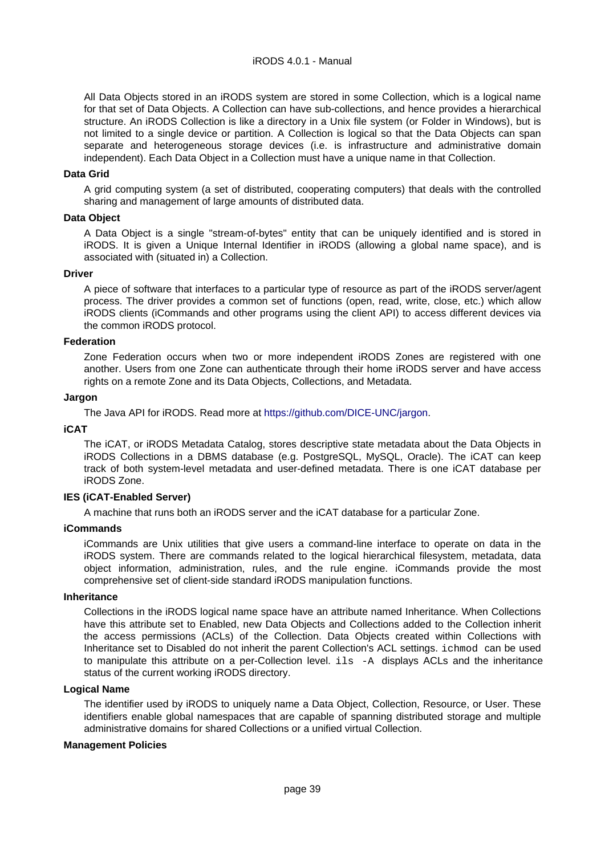All Data Objects stored in an iRODS system are stored in some Collection, which is a logical name for that set of Data Objects. A Collection can have sub-collections, and hence provides a hierarchical structure. An iRODS Collection is like a directory in a Unix file system (or Folder in Windows), but is not limited to a single device or partition. A Collection is logical so that the Data Objects can span separate and heterogeneous storage devices (i.e. is infrastructure and administrative domain independent). Each Data Object in a Collection must have a unique name in that Collection.

#### **Data Grid**

A grid computing system (a set of distributed, cooperating computers) that deals with the controlled sharing and management of large amounts of distributed data.

#### **Data Object**

A Data Object is a single "stream-of-bytes" entity that can be uniquely identified and is stored in iRODS. It is given a Unique Internal Identifier in iRODS (allowing a global name space), and is associated with (situated in) a Collection.

#### **Driver**

A piece of software that interfaces to a particular type of resource as part of the iRODS server/agent process. The driver provides a common set of functions (open, read, write, close, etc.) which allow iRODS clients (iCommands and other programs using the client API) to access different devices via the common iRODS protocol.

#### **Federation**

Zone Federation occurs when two or more independent iRODS Zones are registered with one another. Users from one Zone can authenticate through their home iRODS server and have access rights on a remote Zone and its Data Objects, Collections, and Metadata.

#### **Jargon**

The Java API for iRODS. Read more at <https://github.com/DICE-UNC/jargon>.

#### **iCAT**

The iCAT, or iRODS Metadata Catalog, stores descriptive state metadata about the Data Objects in iRODS Collections in a DBMS database (e.g. PostgreSQL, MySQL, Oracle). The iCAT can keep track of both system-level metadata and user-defined metadata. There is one iCAT database per iRODS Zone.

#### **IES (iCAT-Enabled Server)**

A machine that runs both an iRODS server and the iCAT database for a particular Zone.

#### **iCommands**

iCommands are Unix utilities that give users a command-line interface to operate on data in the iRODS system. There are commands related to the logical hierarchical filesystem, metadata, data object information, administration, rules, and the rule engine. iCommands provide the most comprehensive set of client-side standard iRODS manipulation functions.

#### **Inheritance**

Collections in the iRODS logical name space have an attribute named Inheritance. When Collections have this attribute set to Enabled, new Data Objects and Collections added to the Collection inherit the access permissions (ACLs) of the Collection. Data Objects created within Collections with Inheritance set to Disabled do not inherit the parent Collection's ACL settings. ichmod can be used to manipulate this attribute on a per-Collection level. ils -A displays ACLs and the inheritance status of the current working iRODS directory.

#### **Logical Name**

The identifier used by iRODS to uniquely name a Data Object, Collection, Resource, or User. These identifiers enable global namespaces that are capable of spanning distributed storage and multiple administrative domains for shared Collections or a unified virtual Collection.

#### **Management Policies**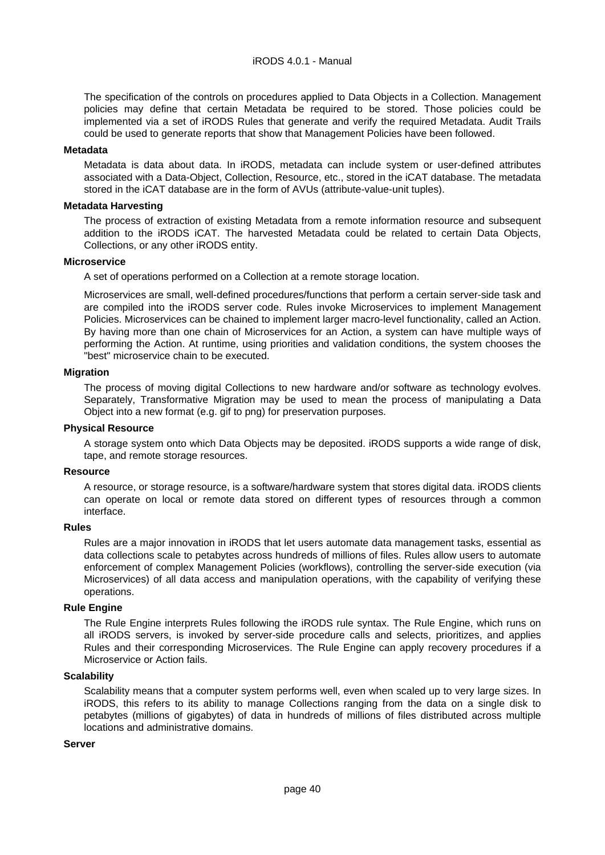The specification of the controls on procedures applied to Data Objects in a Collection. Management policies may define that certain Metadata be required to be stored. Those policies could be implemented via a set of iRODS Rules that generate and verify the required Metadata. Audit Trails could be used to generate reports that show that Management Policies have been followed.

#### **Metadata**

Metadata is data about data. In iRODS, metadata can include system or user-defined attributes associated with a Data-Object, Collection, Resource, etc., stored in the iCAT database. The metadata stored in the iCAT database are in the form of AVUs (attribute-value-unit tuples).

#### **Metadata Harvesting**

The process of extraction of existing Metadata from a remote information resource and subsequent addition to the iRODS iCAT. The harvested Metadata could be related to certain Data Objects, Collections, or any other iRODS entity.

#### **Microservice**

A set of operations performed on a Collection at a remote storage location.

Microservices are small, well-defined procedures/functions that perform a certain server-side task and are compiled into the iRODS server code. Rules invoke Microservices to implement Management Policies. Microservices can be chained to implement larger macro-level functionality, called an Action. By having more than one chain of Microservices for an Action, a system can have multiple ways of performing the Action. At runtime, using priorities and validation conditions, the system chooses the "best" microservice chain to be executed.

#### **Migration**

The process of moving digital Collections to new hardware and/or software as technology evolves. Separately, Transformative Migration may be used to mean the process of manipulating a Data Object into a new format (e.g. gif to png) for preservation purposes.

#### **Physical Resource**

A storage system onto which Data Objects may be deposited. iRODS supports a wide range of disk, tape, and remote storage resources.

#### **Resource**

A resource, or storage resource, is a software/hardware system that stores digital data. iRODS clients can operate on local or remote data stored on different types of resources through a common interface.

#### **Rules**

Rules are a major innovation in iRODS that let users automate data management tasks, essential as data collections scale to petabytes across hundreds of millions of files. Rules allow users to automate enforcement of complex Management Policies (workflows), controlling the server-side execution (via Microservices) of all data access and manipulation operations, with the capability of verifying these operations.

#### **Rule Engine**

The Rule Engine interprets Rules following the iRODS rule syntax. The Rule Engine, which runs on all iRODS servers, is invoked by server-side procedure calls and selects, prioritizes, and applies Rules and their corresponding Microservices. The Rule Engine can apply recovery procedures if a Microservice or Action fails.

#### **Scalability**

Scalability means that a computer system performs well, even when scaled up to very large sizes. In iRODS, this refers to its ability to manage Collections ranging from the data on a single disk to petabytes (millions of gigabytes) of data in hundreds of millions of files distributed across multiple locations and administrative domains.

#### **Server**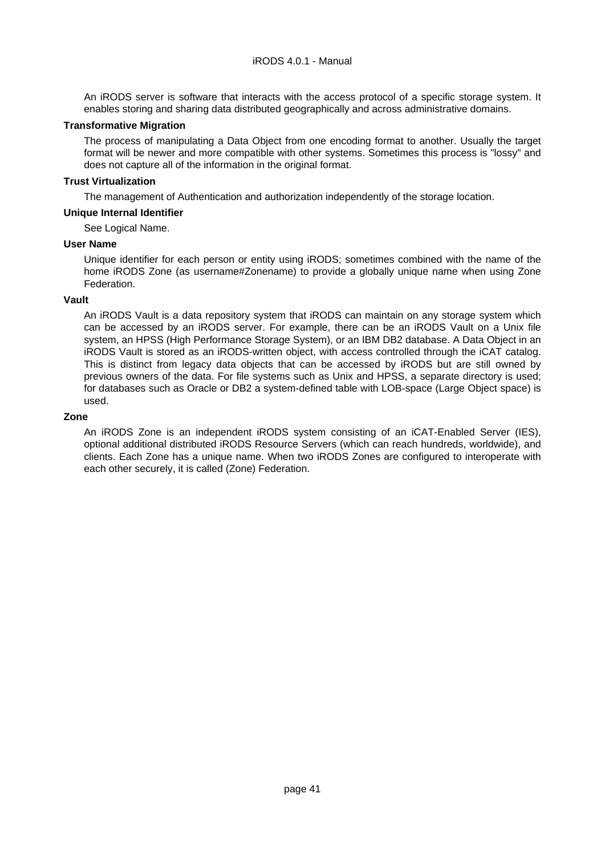#### iRODS 4.0.1 - Manual

An iRODS server is software that interacts with the access protocol of a specific storage system. It enables storing and sharing data distributed geographically and across administrative domains.

#### **Transformative Migration**

The process of manipulating a Data Object from one encoding format to another. Usually the target format will be newer and more compatible with other systems. Sometimes this process is "lossy" and does not capture all of the information in the original format.

#### **Trust Virtualization**

The management of Authentication and authorization independently of the storage location.

#### **Unique Internal Identifier**

#### See Logical Name.

#### **User Name**

Unique identifier for each person or entity using iRODS; sometimes combined with the name of the home iRODS Zone (as username#Zonename) to provide a globally unique name when using Zone Federation.

#### **Vault**

An iRODS Vault is a data repository system that iRODS can maintain on any storage system which can be accessed by an iRODS server. For example, there can be an iRODS Vault on a Unix file system, an HPSS (High Performance Storage System), or an IBM DB2 database. A Data Object in an iRODS Vault is stored as an iRODS-written object, with access controlled through the iCAT catalog. This is distinct from legacy data objects that can be accessed by iRODS but are still owned by previous owners of the data. For file systems such as Unix and HPSS, a separate directory is used; for databases such as Oracle or DB2 a system-defined table with LOB-space (Large Object space) is used.

#### **Zone**

An iRODS Zone is an independent iRODS system consisting of an iCAT-Enabled Server (IES), optional additional distributed iRODS Resource Servers (which can reach hundreds, worldwide), and clients. Each Zone has a unique name. When two iRODS Zones are configured to interoperate with each other securely, it is called (Zone) Federation.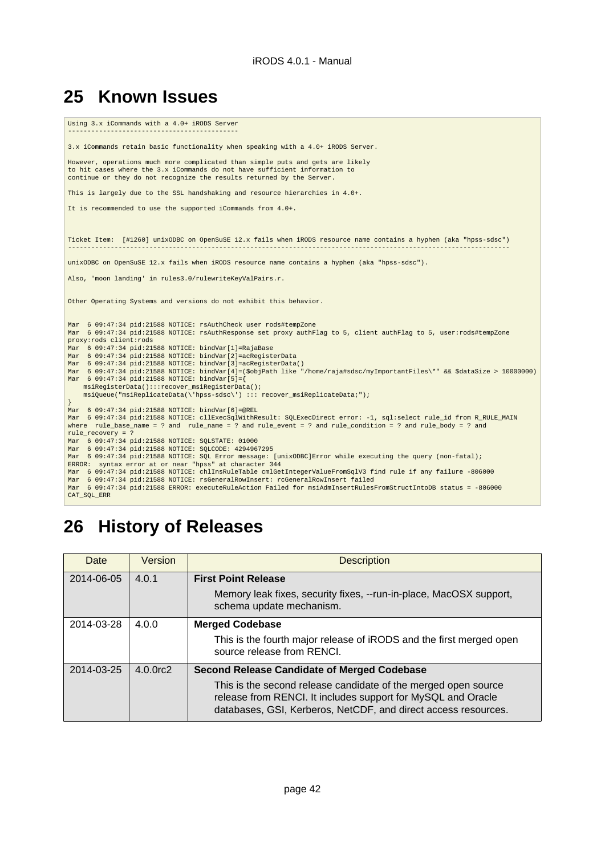# <span id="page-41-0"></span>**25 Known Issues**

| Mar 6 09:47:34 pid:21588 NOTICE: bindVar[3]=acReqisterData()<br>msiReqisterData():::recover msiReqisterData();<br>msiQueue("msiReplicateData(\'hpss-sdsc\') ::: recover_msiReplicateData;");<br>Mar 6 09:47:34 pid:21588 NOTICE: bindVar[6]=@REL<br>Mar 6 09:47:34 pid:21588 NOTICE: SQLSTATE: 01000 | Using 3.x iCommands with a 4.0+ iRODS Server                                                                                                                                                                                                                                                                                           |
|------------------------------------------------------------------------------------------------------------------------------------------------------------------------------------------------------------------------------------------------------------------------------------------------------|----------------------------------------------------------------------------------------------------------------------------------------------------------------------------------------------------------------------------------------------------------------------------------------------------------------------------------------|
|                                                                                                                                                                                                                                                                                                      | 3.x iCommands retain basic functionality when speaking with a 4.0+ iRODS Server.                                                                                                                                                                                                                                                       |
|                                                                                                                                                                                                                                                                                                      | However, operations much more complicated than simple puts and gets are likely<br>to hit cases where the 3.x iCommands do not have sufficient information to<br>continue or they do not recognize the results returned by the Server.                                                                                                  |
|                                                                                                                                                                                                                                                                                                      | This is largely due to the SSL handshaking and resource hierarchies in 4.0+.                                                                                                                                                                                                                                                           |
|                                                                                                                                                                                                                                                                                                      | It is recommended to use the supported iCommands from 4.0+.                                                                                                                                                                                                                                                                            |
|                                                                                                                                                                                                                                                                                                      |                                                                                                                                                                                                                                                                                                                                        |
|                                                                                                                                                                                                                                                                                                      | Ticket Item: [#1260] unixODBC on OpenSuSE 12.x fails when iRODS resource name contains a hyphen (aka "hpss-sdsc")                                                                                                                                                                                                                      |
|                                                                                                                                                                                                                                                                                                      | unixODBC on OpenSuSE 12.x fails when iRODS resource name contains a hyphen (aka "hpss-sdsc").                                                                                                                                                                                                                                          |
|                                                                                                                                                                                                                                                                                                      | Also, 'moon landing' in rules3.0/rulewriteKeyValPairs.r.                                                                                                                                                                                                                                                                               |
|                                                                                                                                                                                                                                                                                                      | Other Operating Systems and versions do not exhibit this behavior.                                                                                                                                                                                                                                                                     |
|                                                                                                                                                                                                                                                                                                      | Mar 6 09:47:34 pid:21588 NOTICE: rsAuthCheck user rods#tempZone<br>Mar 6 09:47:34 pid:21588 NOTICE: rsAuthResponse set proxy authFlag to 5, client authFlag to 5, user:rods#tempZone<br>proxy: rods client: rods<br>Mar 6 09:47:34 pid:21588 NOTICE: bindVar[1]=RajaBase<br>Mar 6 09:47:34 pid:21588 NOTICE: bindVar[2]=acRegisterData |
|                                                                                                                                                                                                                                                                                                      | Mar 6 09:47:34 pid:21588 NOTICE: bindVar[4]=(\$objPath like "/home/raja#sdsc/myImportantFiles\*" && \$dataSize > 10000000)<br>Mar 6 09:47:34 pid:21588 NOTICE: bindVar[5]={                                                                                                                                                            |
|                                                                                                                                                                                                                                                                                                      | $\}$                                                                                                                                                                                                                                                                                                                                   |
|                                                                                                                                                                                                                                                                                                      | Mar 6 09:47:34 pid:21588 NOTICE: cllExecSqlWithResult: SQLExecDirect error: -1, sql:select rule_id from R_RULE_MAIN<br>where rule_base_name = ? and rule_name = ? and rule_event = ? and rule_condition = ? and rule_body = ? and<br>rule recovery = $?$                                                                               |
|                                                                                                                                                                                                                                                                                                      | Mar 6 09:47:34 pid:21588 NOTICE: SOLCODE: 4294967295<br>Mar 6 09:47:34 pid:21588 NOTICE: SQL Error message: [unixODBC]Error while executing the query (non-fatal);<br>ERROR: syntax error at or near "hpss" at character 344                                                                                                           |
|                                                                                                                                                                                                                                                                                                      | Mar 6 09:47:34 pid:21588 NOTICE: chlInsRuleTable cmlGetIntegerValueFromSqlV3 find rule if any failure -806000<br>Mar 6 09:47:34 pid:21588 NOTICE: rsGeneralRowInsert: rcGeneralRowInsert failed<br>Mar 6 09:47:34 pid:21588 ERROR: executeRuleAction Failed for msiAdmInsertRulesFromStructIntoDB status = -806000<br>CAT_SQL_ERR      |

# <span id="page-41-1"></span>**26 History of Releases**

| Date       | Version        | <b>Description</b>                                                                                                                                                                               |
|------------|----------------|--------------------------------------------------------------------------------------------------------------------------------------------------------------------------------------------------|
| 2014-06-05 | 4.0.1          | <b>First Point Release</b>                                                                                                                                                                       |
|            |                | Memory leak fixes, security fixes, --run-in-place, MacOSX support,<br>schema update mechanism.                                                                                                   |
| 2014-03-28 | 4.0.0          | <b>Merged Codebase</b>                                                                                                                                                                           |
|            |                | This is the fourth major release of iRODS and the first merged open<br>source release from RENCL                                                                                                 |
| 2014-03-25 | $4.0.0$ rc $2$ | <b>Second Release Candidate of Merged Codebase</b>                                                                                                                                               |
|            |                | This is the second release candidate of the merged open source<br>release from RENCI. It includes support for MySQL and Oracle<br>databases, GSI, Kerberos, NetCDF, and direct access resources. |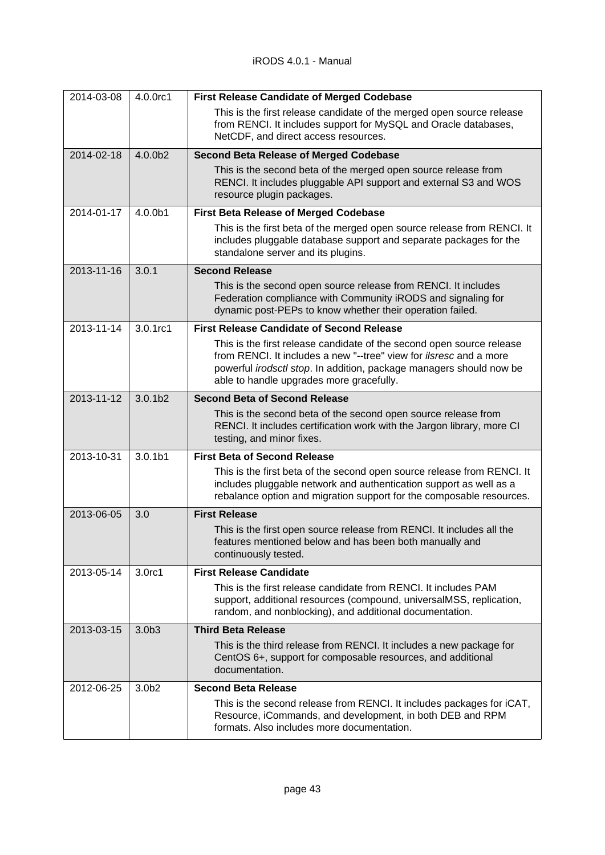| 2014-03-08 | 4.0.0rc1            | <b>First Release Candidate of Merged Codebase</b>                                                                                                                                                                                                                     |
|------------|---------------------|-----------------------------------------------------------------------------------------------------------------------------------------------------------------------------------------------------------------------------------------------------------------------|
|            |                     | This is the first release candidate of the merged open source release<br>from RENCI. It includes support for MySQL and Oracle databases,<br>NetCDF, and direct access resources.                                                                                      |
| 2014-02-18 | 4.0.0b2             | <b>Second Beta Release of Merged Codebase</b>                                                                                                                                                                                                                         |
|            |                     | This is the second beta of the merged open source release from<br>RENCI. It includes pluggable API support and external S3 and WOS<br>resource plugin packages.                                                                                                       |
| 2014-01-17 | 4.0.0b1             | <b>First Beta Release of Merged Codebase</b>                                                                                                                                                                                                                          |
|            |                     | This is the first beta of the merged open source release from RENCI. It<br>includes pluggable database support and separate packages for the<br>standalone server and its plugins.                                                                                    |
| 2013-11-16 | 3.0.1               | <b>Second Release</b>                                                                                                                                                                                                                                                 |
|            |                     | This is the second open source release from RENCI. It includes<br>Federation compliance with Community iRODS and signaling for<br>dynamic post-PEPs to know whether their operation failed.                                                                           |
| 2013-11-14 | 3.0.1rc1            | <b>First Release Candidate of Second Release</b>                                                                                                                                                                                                                      |
|            |                     | This is the first release candidate of the second open source release<br>from RENCI. It includes a new "--tree" view for <i>ilsresc</i> and a more<br>powerful irodsctl stop. In addition, package managers should now be<br>able to handle upgrades more gracefully. |
| 2013-11-12 | 3.0.1 <sub>b2</sub> | <b>Second Beta of Second Release</b>                                                                                                                                                                                                                                  |
|            |                     | This is the second beta of the second open source release from<br>RENCI. It includes certification work with the Jargon library, more CI<br>testing, and minor fixes.                                                                                                 |
| 2013-10-31 | 3.0.1 <sub>b1</sub> | <b>First Beta of Second Release</b>                                                                                                                                                                                                                                   |
|            |                     | This is the first beta of the second open source release from RENCI. It<br>includes pluggable network and authentication support as well as a<br>rebalance option and migration support for the composable resources.                                                 |
| 2013-06-05 | 3.0                 | <b>First Release</b>                                                                                                                                                                                                                                                  |
|            |                     | This is the first open source release from RENCI. It includes all the<br>features mentioned below and has been both manually and<br>continuously tested.                                                                                                              |
| 2013-05-14 | 3.0rc1              | <b>First Release Candidate</b>                                                                                                                                                                                                                                        |
|            |                     | This is the first release candidate from RENCI. It includes PAM<br>support, additional resources (compound, universalMSS, replication,<br>random, and nonblocking), and additional documentation.                                                                     |
| 2013-03-15 | 3.0 <sub>b3</sub>   | <b>Third Beta Release</b>                                                                                                                                                                                                                                             |
|            |                     | This is the third release from RENCI. It includes a new package for<br>CentOS 6+, support for composable resources, and additional<br>documentation.                                                                                                                  |
| 2012-06-25 | 3.0 <sub>b2</sub>   | <b>Second Beta Release</b>                                                                                                                                                                                                                                            |
|            |                     | This is the second release from RENCI. It includes packages for iCAT,<br>Resource, iCommands, and development, in both DEB and RPM<br>formats. Also includes more documentation.                                                                                      |